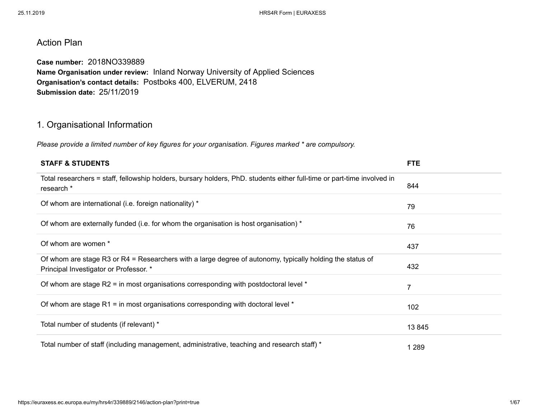# Action Plan

**Case number:** 2018NO339889 **Name Organisation under review:** Inland Norway University of Applied Sciences **Organisation's contact details:** Postboks 400, ELVERUM, 2418 **Submission date:** 25/11/2019

# 1. Organisational Information

*Please provide a limited number of key figures for your organisation. Figures marked \* are compulsory.*

| <b>STAFF &amp; STUDENTS</b>                                                                                                                         | <b>FTE</b>     |
|-----------------------------------------------------------------------------------------------------------------------------------------------------|----------------|
| Total researchers = staff, fellowship holders, bursary holders, PhD. students either full-time or part-time involved in<br>research *               | 844            |
| Of whom are international (i.e. foreign nationality) *                                                                                              | 79             |
| Of whom are externally funded (i.e. for whom the organisation is host organisation) *                                                               | 76             |
| Of whom are women *                                                                                                                                 | 437            |
| Of whom are stage R3 or R4 = Researchers with a large degree of autonomy, typically holding the status of<br>Principal Investigator or Professor. * | 432            |
| Of whom are stage R2 = in most organisations corresponding with postdoctoral level *                                                                | $\overline{7}$ |
| Of whom are stage R1 = in most organisations corresponding with doctoral level $*$                                                                  | 102            |
| Total number of students (if relevant) *                                                                                                            | 13 845         |
| Total number of staff (including management, administrative, teaching and research staff) *                                                         | 1 2 8 9        |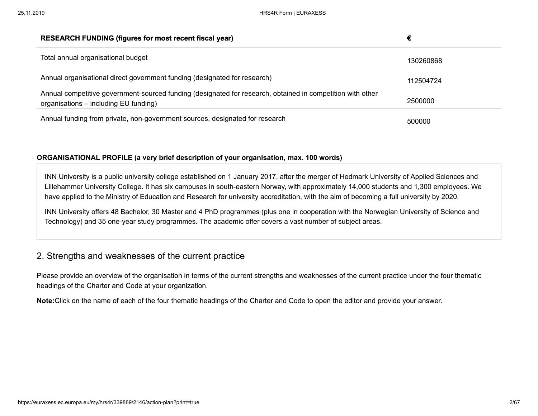| <b>RESEARCH FUNDING (figures for most recent fiscal year)</b>                                                                                       | €         |
|-----------------------------------------------------------------------------------------------------------------------------------------------------|-----------|
| Total annual organisational budget                                                                                                                  | 130260868 |
| Annual organisational direct government funding (designated for research)                                                                           | 112504724 |
| Annual competitive government-sourced funding (designated for research, obtained in competition with other<br>organisations – including EU funding) | 2500000   |
| Annual funding from private, non-government sources, designated for research                                                                        | 500000    |

### **ORGANISATIONAL PROFILE (a very brief description of your organisation, max. 100 words)**

INN University is a public university college established on 1 January 2017, after the merger of Hedmark University of Applied Sciences and Lillehammer University College. It has six campuses in south-eastern Norway, with approximately 14,000 students and 1,300 employees. We have applied to the Ministry of Education and Research for university accreditation, with the aim of becoming a full university by 2020.

INN University offers 48 Bachelor, 30 Master and 4 PhD programmes (plus one in cooperation with the Norwegian University of Science and Technology) and 35 one-year study programmes. The academic offer covers a vast number of subject areas.

# 2. Strengths and weaknesses of the current practice

Please provide an overview of the organisation in terms of the current strengths and weaknesses of the current practice under the four thematic headings of the Charter and Code at your organization.

**Note:**Click on the name of each of the four thematic headings of the Charter and Code to open the editor and provide your answer.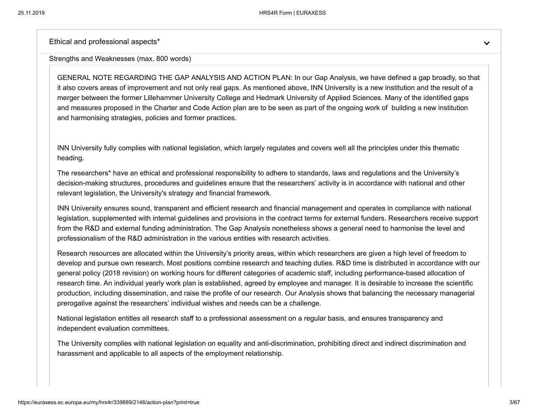Ethical and professional aspects\*

#### Strengths and Weaknesses (max. 800 words)

GENERAL NOTE REGARDING THE GAP ANALYSIS AND ACTION PLAN: In our Gap Analysis, we have defined a gap broadly, so that it also covers areas of improvement and not only real gaps. As mentioned above, INN University is a new institution and the result of a merger between the former Lillehammer University College and Hedmark University of Applied Sciences. Many of the identified gaps and measures proposed in the Charter and Code Action plan are to be seen as part of the ongoing work of building a new institution and harmonising strategies, policies and former practices.

INN University fully complies with national legislation, which largely regulates and covers well all the principles under this thematic heading.

The researchers\* have an ethical and professional responsibility to adhere to standards, laws and regulations and the University's decision-making structures, procedures and guidelines ensure that the researchers' activity is in accordance with national and other relevant legislation, the University's strategy and financial framework.

INN University ensures sound, transparent and efficient research and financial management and operates in compliance with national legislation, supplemented with internal guidelines and provisions in the contract terms for external funders. Researchers receive support from the R&D and external funding administration. The Gap Analysis nonetheless shows a general need to harmonise the level and professionalism of the R&D administration in the various entities with research activities.

Research resources are allocated within the University's priority areas, within which researchers are given a high level of freedom to develop and pursue own research. Most positions combine research and teaching duties. R&D time is distributed in accordance with our general policy (2018 revision) on working hours for different categories of academic staff, including performance-based allocation of research time. An individual yearly work plan is established, agreed by employee and manager. It is desirable to increase the scientific production, including dissemination, and raise the profile of our research. Our Analysis shows that balancing the necessary managerial prerogative against the researchers' individual wishes and needs can be a challenge.

National legislation entitles all research staff to a professional assessment on a regular basis, and ensures transparency and independent evaluation committees.

The University complies with national legislation on equality and anti-discrimination, prohibiting direct and indirect discrimination and harassment and applicable to all aspects of the employment relationship.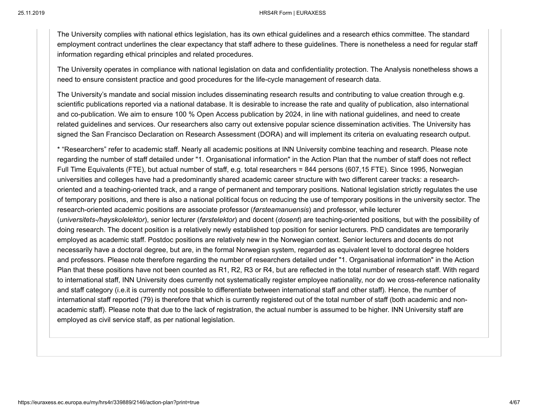25.11.2019 HRS4R Form | EURAXESS

The University complies with national ethics legislation, has its own ethical guidelines and a research ethics committee. The standard employment contract underlines the clear expectancy that staff adhere to these guidelines. There is nonetheless a need for regular staff information regarding ethical principles and related procedures.

The University operates in compliance with national legislation on data and confidentiality protection. The Analysis nonetheless shows a need to ensure consistent practice and good procedures for the life-cycle management of research data.

The University's mandate and social mission includes disseminating research results and contributing to value creation through e.g. scientific publications reported via a national database. It is desirable to increase the rate and quality of publication, also international and co-publication. We aim to ensure 100 % Open Access publication by 2024, in line with national guidelines, and need to create related guidelines and services. Our researchers also carry out extensive popular science dissemination activities. The University has signed the San Francisco Declaration on Research Assessment (DORA) and will implement its criteria on evaluating research output.

\* "Researchers" refer to academic staff. Nearly all academic positions at INN University combine teaching and research. Please note regarding the number of staff detailed under "1. Organisational information" in the Action Plan that the number of staff does not reflect Full Time Equivalents (FTE), but actual number of staff, e.g. total researchers = 844 persons (607,15 FTE). Since 1995, Norwegian universities and colleges have had a predominantly shared academic career structure with two different career tracks: a researchoriented and a teaching-oriented track, and a range of permanent and temporary positions. National legislation strictly regulates the use of temporary positions, and there is also a national political focus on reducing the use of temporary positions in the university sector. The research-oriented academic positions are associate professor (*førsteamanuensis*) and professor, while lecturer (*universitets-/høyskolelektor*), senior lecturer (*førstelektor*) and docent (*dosent*) are teaching-oriented positions, but with the possibility of doing research. The docent position is a relatively newly established top position for senior lecturers. PhD candidates are temporarily employed as academic staff. Postdoc positions are relatively new in the Norwegian context. Senior lecturers and docents do not necessarily have a doctoral degree, but are, in the formal Norwegian system, regarded as equivalent level to doctoral degree holders and professors. Please note therefore regarding the number of researchers detailed under "1. Organisational information" in the Action Plan that these positions have not been counted as R1, R2, R3 or R4, but are reflected in the total number of research staff. With regard to international staff, INN University does currently not systematically register employee nationality, nor do we cross-reference nationality and staff category (i.e.it is currently not possible to differentiate between international staff and other staff). Hence, the number of international staff reported (79) is therefore that which is currently registered out of the total number of staff (both academic and nonacademic staff). Please note that due to the lack of registration, the actual number is assumed to be higher. INN University staff are employed as civil service staff, as per national legislation.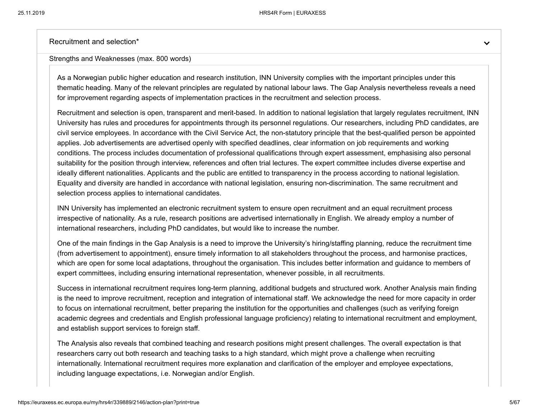Recruitment and selection\*

#### Strengths and Weaknesses (max. 800 words)

As a Norwegian public higher education and research institution, INN University complies with the important principles under this thematic heading. Many of the relevant principles are regulated by national labour laws. The Gap Analysis nevertheless reveals a need for improvement regarding aspects of implementation practices in the recruitment and selection process.

Recruitment and selection is open, transparent and merit-based. In addition to national legislation that largely regulates recruitment, INN University has rules and procedures for appointments through its personnel regulations. Our researchers, including PhD candidates, are civil service employees. In accordance with the Civil Service Act, the non-statutory principle that the best-qualified person be appointed applies. Job advertisements are advertised openly with specified deadlines, clear information on job requirements and working conditions. The process includes documentation of professional qualifications through expert assessment, emphasising also personal suitability for the position through interview, references and often trial lectures. The expert committee includes diverse expertise and ideally different nationalities. Applicants and the public are entitled to transparency in the process according to national legislation. Equality and diversity are handled in accordance with national legislation, ensuring non-discrimination. The same recruitment and selection process applies to international candidates.

INN University has implemented an electronic recruitment system to ensure open recruitment and an equal recruitment process irrespective of nationality. As a rule, research positions are advertised internationally in English. We already employ a number of international researchers, including PhD candidates, but would like to increase the number.

One of the main findings in the Gap Analysis is a need to improve the University's hiring/staffing planning, reduce the recruitment time (from advertisement to appointment), ensure timely information to all stakeholders throughout the process, and harmonise practices, which are open for some local adaptations, throughout the organisation. This includes better information and guidance to members of expert committees, including ensuring international representation, whenever possible, in all recruitments.

Success in international recruitment requires long-term planning, additional budgets and structured work. Another Analysis main finding is the need to improve recruitment, reception and integration of international staff. We acknowledge the need for more capacity in order to focus on international recruitment, better preparing the institution for the opportunities and challenges (such as verifying foreign academic degrees and credentials and English professional language proficiency) relating to international recruitment and employment, and establish support services to foreign staff.

The Analysis also reveals that combined teaching and research positions might present challenges. The overall expectation is that researchers carry out both research and teaching tasks to a high standard, which might prove a challenge when recruiting internationally. International recruitment requires more explanation and clarification of the employer and employee expectations, including language expectations, i.e. Norwegian and/or English.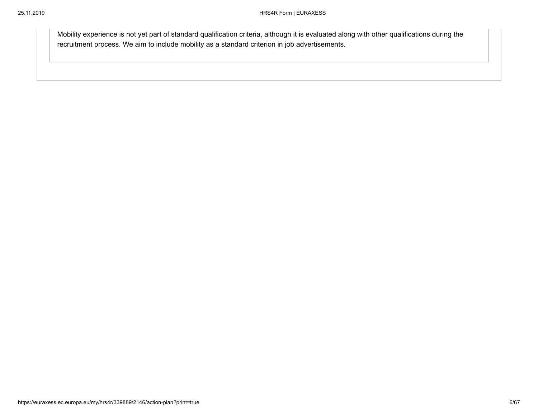Mobility experience is not yet part of standard qualification criteria, although it is evaluated along with other qualifications during the recruitment process. We aim to include mobility as a standard criterion in job advertisements.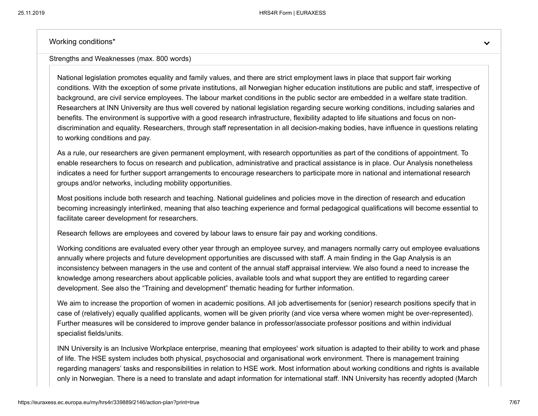Working conditions\*

Strengths and Weaknesses (max. 800 words)

National legislation promotes equality and family values, and there are strict employment laws in place that support fair working conditions. With the exception of some private institutions, all Norwegian higher education institutions are public and staff, irrespective of background, are civil service employees. The labour market conditions in the public sector are embedded in a welfare state tradition. Researchers at INN University are thus well covered by national legislation regarding secure working conditions, including salaries and benefits. The environment is supportive with a good research infrastructure, flexibility adapted to life situations and focus on nondiscrimination and equality. Researchers, through staff representation in all decision-making bodies, have influence in questions relating to working conditions and pay.

As a rule, our researchers are given permanent employment, with research opportunities as part of the conditions of appointment. To enable researchers to focus on research and publication, administrative and practical assistance is in place. Our Analysis nonetheless indicates a need for further support arrangements to encourage researchers to participate more in national and international research groups and/or networks, including mobility opportunities.

Most positions include both research and teaching. National guidelines and policies move in the direction of research and education becoming increasingly interlinked, meaning that also teaching experience and formal pedagogical qualifications will become essential to facilitate career development for researchers.

Research fellows are employees and covered by labour laws to ensure fair pay and working conditions.

Working conditions are evaluated every other year through an employee survey, and managers normally carry out employee evaluations annually where projects and future development opportunities are discussed with staff. A main finding in the Gap Analysis is an inconsistency between managers in the use and content of the annual staff appraisal interview. We also found a need to increase the knowledge among researchers about applicable policies, available tools and what support they are entitled to regarding career development. See also the "Training and development" thematic heading for further information.

We aim to increase the proportion of women in academic positions. All job advertisements for (senior) research positions specify that in case of (relatively) equally qualified applicants, women will be given priority (and vice versa where women might be over-represented). Further measures will be considered to improve gender balance in professor/associate professor positions and within individual specialist fields/units.

INN University is an Inclusive Workplace enterprise, meaning that employees' work situation is adapted to their ability to work and phase of life. The HSE system includes both physical, psychosocial and organisational work environment. There is management training regarding managers' tasks and responsibilities in relation to HSE work. Most information about working conditions and rights is available only in Norwegian. There is a need to translate and adapt information for international staff. INN University has recently adopted (March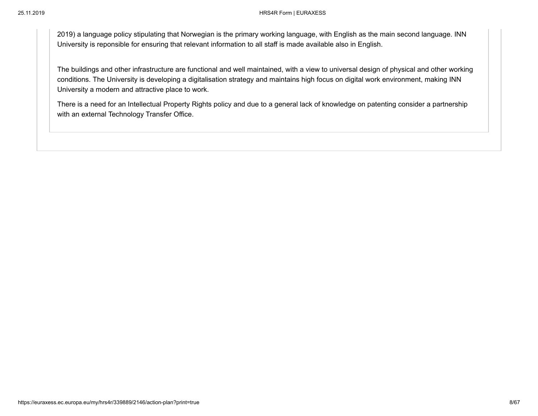2019) a language policy stipulating that Norwegian is the primary working language, with English as the main second language. INN University is reponsible for ensuring that relevant information to all staff is made available also in English.

The buildings and other infrastructure are functional and well maintained, with a view to universal design of physical and other working conditions. The University is developing a digitalisation strategy and maintains high focus on digital work environment, making INN University a modern and attractive place to work.

There is a need for an Intellectual Property Rights policy and due to a general lack of knowledge on patenting consider a partnership with an external Technology Transfer Office.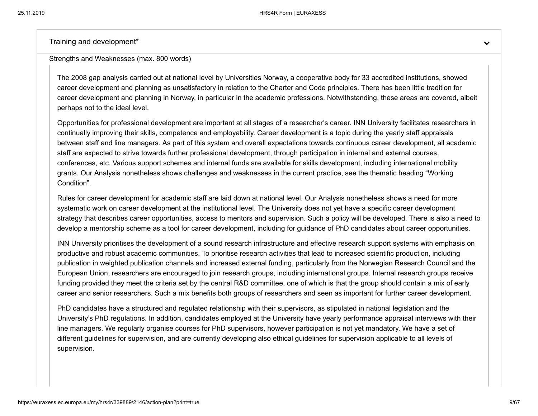Training and development\*

Strengths and Weaknesses (max. 800 words)

The 2008 gap analysis carried out at national level by Universities Norway, a cooperative body for 33 accredited institutions, showed career development and planning as unsatisfactory in relation to the Charter and Code principles. There has been little tradition for career development and planning in Norway, in particular in the academic professions. Notwithstanding, these areas are covered, albeit perhaps not to the ideal level.

Opportunities for professional development are important at all stages of a researcher's career. INN University facilitates researchers in continually improving their skills, competence and employability. Career development is a topic during the yearly staff appraisals between staff and line managers. As part of this system and overall expectations towards continuous career development, all academic staff are expected to strive towards further professional development, through participation in internal and external courses, conferences, etc. Various support schemes and internal funds are available for skills development, including international mobility grants. Our Analysis nonetheless shows challenges and weaknesses in the current practice, see the thematic heading "Working Condition".

Rules for career development for academic staff are laid down at national level. Our Analysis nonetheless shows a need for more systematic work on career development at the institutional level. The University does not yet have a specific career development strategy that describes career opportunities, access to mentors and supervision. Such a policy will be developed. There is also a need to develop a mentorship scheme as a tool for career development, including for guidance of PhD candidates about career opportunities.

INN University prioritises the development of a sound research infrastructure and effective research support systems with emphasis on productive and robust academic communities. To prioritise research activities that lead to increased scientific production, including publication in weighted publication channels and increased external funding, particularly from the Norwegian Research Council and the European Union, researchers are encouraged to join research groups, including international groups. Internal research groups receive funding provided they meet the criteria set by the central R&D committee, one of which is that the group should contain a mix of early career and senior researchers. Such a mix benefits both groups of researchers and seen as important for further career development.

PhD candidates have a structured and regulated relationship with their supervisors, as stipulated in national legislation and the University's PhD regulations. In addition, candidates employed at the University have yearly performance appraisal interviews with their line managers. We regularly organise courses for PhD supervisors, however participation is not yet mandatory. We have a set of different guidelines for supervision, and are currently developing also ethical guidelines for supervision applicable to all levels of supervision.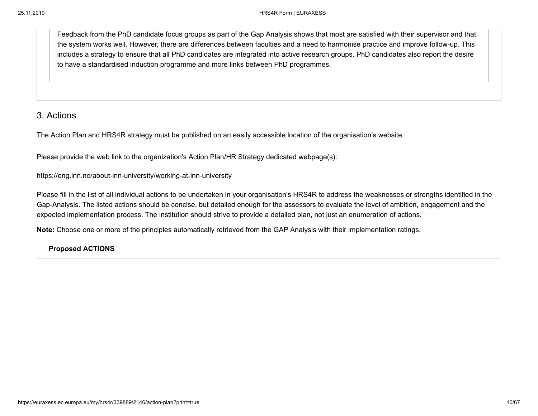Feedback from the PhD candidate focus groups as part of the Gap Analysis shows that most are satisfied with their supervisor and that the system works well. However, there are differences between faculties and a need to harmonise practice and improve follow-up. This includes a strategy to ensure that all PhD candidates are integrated into active research groups. PhD candidates also report the desire to have a standardised induction programme and more links between PhD programmes.

# 3. Actions

The Action Plan and HRS4R strategy must be published on an easily accessible location of the organisation's website.

Please provide the web link to the organization's Action Plan/HR Strategy dedicated webpage(s):

https://eng.inn.no/about-inn-university/working-at-inn-university

Please fill in the list of all individual actions to be undertaken in your organisation's HRS4R to address the weaknesses or strengths identified in the Gap-Analysis. The listed actions should be concise, but detailed enough for the assessors to evaluate the level of ambition, engagement and the expected implementation process. The institution should strive to provide a detailed plan, not just an enumeration of actions.

**Note:** Choose one or more of the principles automatically retrieved from the GAP Analysis with their implementation ratings.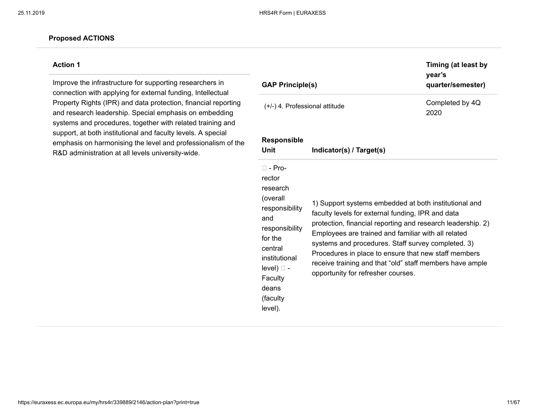### **Action 1**

Improve the infrastructure for supporting researchers in connection with applying for external funding, Intellectual Property Rights (IPR) and data protection, financial reporting and research leadership. Special emphasis on embedding systems and procedures, together with related training and support, at both institutional and faculty levels. A special emphasis on harmonising the level and professionalism of the R&D administration at all levels university-wide.

| <b>GAP Principle(s)</b>                                                                                                                                                                      |                                                                                                                                                                                                                                                                                                                                                                                                                                                  | Timing (at least by<br>year's<br>quarter/semester) |
|----------------------------------------------------------------------------------------------------------------------------------------------------------------------------------------------|--------------------------------------------------------------------------------------------------------------------------------------------------------------------------------------------------------------------------------------------------------------------------------------------------------------------------------------------------------------------------------------------------------------------------------------------------|----------------------------------------------------|
| (+/-) 4. Professional attitude                                                                                                                                                               |                                                                                                                                                                                                                                                                                                                                                                                                                                                  | Completed by 4Q<br>2020                            |
| <b>Responsible</b><br>Unit                                                                                                                                                                   | Indicator(s) / Target(s)                                                                                                                                                                                                                                                                                                                                                                                                                         |                                                    |
| □ - Pro-<br>rector<br>research<br>(overall<br>responsibility<br>and<br>responsibility<br>for the<br>central<br>institutional<br>$level)$ $\Box$ -<br>Faculty<br>deans<br>(faculty<br>level). | 1) Support systems embedded at both institutional and<br>faculty levels for external funding, IPR and data<br>protection, financial reporting and research leadership. 2)<br>Employees are trained and familiar with all related<br>systems and procedures. Staff survey completed. 3)<br>Procedures in place to ensure that new staff members<br>receive training and that "old" staff members have ample<br>opportunity for refresher courses. |                                                    |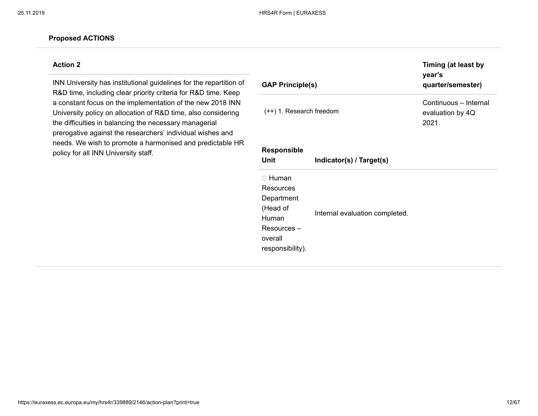### **Action 2**

INN University has institutional guidelines for the repartition of R&D time, including clear priority criteria for R&D time. Keep a constant focus on the implementation of the new 2018 INN University policy on allocation of R&D time, also considering the difficulties in balancing the necessary managerial prerogative against the researchers' individual wishes and needs. We wish to promote a harmonised and predictable HR policy for all INN University staff.

| <b>GAP Principle(s)</b>                                                                                    |                                | Timing (at least by<br>year's<br>quarter/semester) |
|------------------------------------------------------------------------------------------------------------|--------------------------------|----------------------------------------------------|
| $(++)$ 1. Research freedom                                                                                 |                                | Continuous - Internal<br>evaluation by 4Q<br>2021. |
| <b>Responsible</b><br>Unit                                                                                 | Indicator(s) / Target(s)       |                                                    |
| $\Box$ Human<br>Resources<br>Department<br>(Head of<br>Human<br>Resources -<br>overall<br>responsibility). | Internal evaluation completed. |                                                    |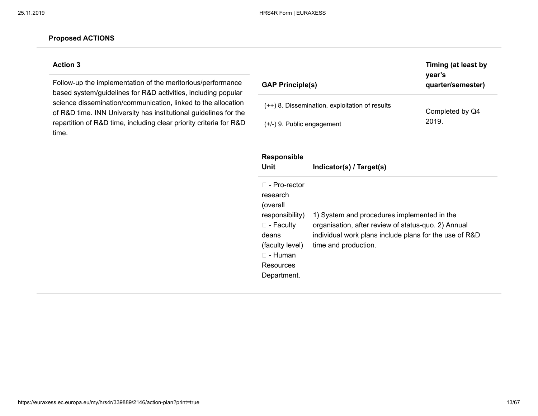### **Action 3**

Follow-up the implementation of the meritorious/performance based system/guidelines for R&D activities, including popular science dissemination/communication, linked to the allocation of R&D time. INN University has institutional guidelines for the repartition of R&D time, including clear priority criteria for R&D time.

| <b>GAP Principle(s)</b>                        | Timing (at least by<br>year's<br>quarter/semester) |
|------------------------------------------------|----------------------------------------------------|
| (++) 8. Dissemination, exploitation of results | Completed by Q4                                    |
| $(+/-)$ 9. Public engagement                   | 2019.                                              |

| <b>Responsible</b><br>Unit                                                                                                                            | Indicator(s) / Target(s)                                                                                                                                                             |
|-------------------------------------------------------------------------------------------------------------------------------------------------------|--------------------------------------------------------------------------------------------------------------------------------------------------------------------------------------|
| □ - Pro-rector<br>research<br>(overall<br>responsibility)<br>$\square$ - Faculty<br>deans<br>(faculty level)<br>□ - Human<br>Resources<br>Department. | 1) System and procedures implemented in the<br>organisation, after review of status-quo. 2) Annual<br>individual work plans include plans for the use of R&D<br>time and production. |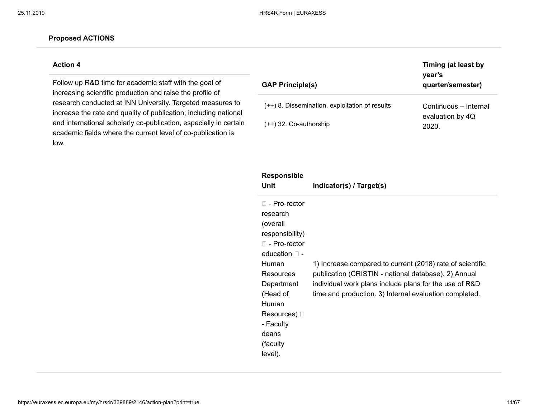### **Action 4**

Follow up R&D time for academic staff with the goal of increasing scientific production and raise the profile of research conducted at INN University. Targeted measures to increase the rate and quality of publication; including national and international scholarly co-publication, especially in certain academic fields where the current level of co-publication is low.

| <b>GAP Principle(s)</b>                        | Timing (at least by<br>year's<br>quarter/semester) |
|------------------------------------------------|----------------------------------------------------|
| (++) 8. Dissemination, exploitation of results | Continuous – Internal                              |
| $(++)$ 32. Co-authorship                       | evaluation by 4Q<br>2020.                          |

| <b>Responsible</b><br>Unit                                                                                                                                                                                                            | Indicator(s) / Target(s)                                                                                                                                                                                                              |
|---------------------------------------------------------------------------------------------------------------------------------------------------------------------------------------------------------------------------------------|---------------------------------------------------------------------------------------------------------------------------------------------------------------------------------------------------------------------------------------|
| $\Box$ - Pro-rector<br>research<br>(overall<br>responsibility)<br>$\Box$ - Pro-rector<br>education $\Box$ -<br><b>Human</b><br>Resources<br>Department<br>(Head of<br>Human<br>Resources) $\square$<br>- Faculty<br>deans<br>(faculty | 1) Increase compared to current (2018) rate of scientific<br>publication (CRISTIN - national database). 2) Annual<br>individual work plans include plans for the use of R&D<br>time and production. 3) Internal evaluation completed. |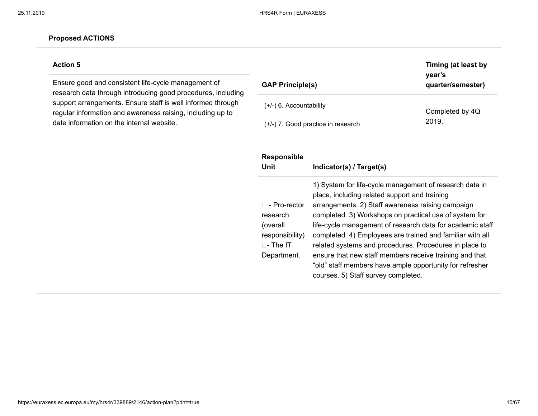### **Action 5**

Ensure good and consistent life-cycle management of research data through introducing good procedures, including support arrangements. Ensure staff is well informed through regular information and awareness raising, including up to date information on the internal website.

| <b>GAP Principle(s)</b>            | Timing (at least by<br>vear's<br>quarter/semester) |
|------------------------------------|----------------------------------------------------|
| $(+/-)$ 6. Accountability          | Completed by 4Q                                    |
| (+/-) 7. Good practice in research | 2019.                                              |

| <b>Responsible</b><br>Unit                                                                         | Indicator(s) / Target(s)                                                                                                                                                                                                                                                                                                                                                                                                                                                                                                                                                  |
|----------------------------------------------------------------------------------------------------|---------------------------------------------------------------------------------------------------------------------------------------------------------------------------------------------------------------------------------------------------------------------------------------------------------------------------------------------------------------------------------------------------------------------------------------------------------------------------------------------------------------------------------------------------------------------------|
| $\Box$ - Pro-rector<br>research<br>(overall<br>responsibility)<br>$\sqcap$ - The IT<br>Department. | 1) System for life-cycle management of research data in<br>place, including related support and training<br>arrangements. 2) Staff awareness raising campaign<br>completed. 3) Workshops on practical use of system for<br>life-cycle management of research data for academic staff<br>completed. 4) Employees are trained and familiar with all<br>related systems and procedures. Procedures in place to<br>ensure that new staff members receive training and that<br>"old" staff members have ample opportunity for refresher<br>courses. 5) Staff survey completed. |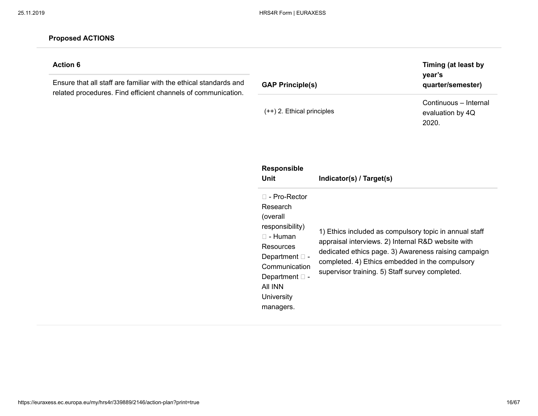### **Action 6**

Ensure that all staff are familiar with the ethical standards and related procedures. Find efficient channels of communication.

| <b>GAP Principle(s)</b>      | Timing (at least by<br>year's<br>quarter/semester) |
|------------------------------|----------------------------------------------------|
| $(++)$ 2. Ethical principles | Continuous – Internal<br>evaluation by 4Q          |
|                              | 2020.                                              |

| <b>Responsible</b><br>Unit                                                                                                                                                                               | Indicator(s) / Target(s)                                                                                                                                                                                                                                                   |
|----------------------------------------------------------------------------------------------------------------------------------------------------------------------------------------------------------|----------------------------------------------------------------------------------------------------------------------------------------------------------------------------------------------------------------------------------------------------------------------------|
| $\Box$ - Pro-Rector<br>Research<br>(overall<br>responsibility)<br>$\Box$ - Human<br>Resources<br>Department $\square$ -<br>Communication<br>Department $\square$ -<br>AII INN<br>University<br>managers. | 1) Ethics included as compulsory topic in annual staff<br>appraisal interviews. 2) Internal R&D website with<br>dedicated ethics page. 3) Awareness raising campaign<br>completed. 4) Ethics embedded in the compulsory<br>supervisor training. 5) Staff survey completed. |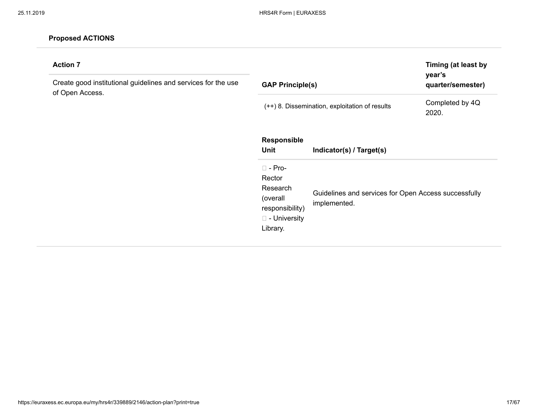| <b>Action 7</b><br>Create good institutional guidelines and services for the use<br>of Open Access. | Timing (at least by<br>year's<br><b>GAP Principle(s)</b><br>quarter/semester)                               |                                                                      |                          |
|-----------------------------------------------------------------------------------------------------|-------------------------------------------------------------------------------------------------------------|----------------------------------------------------------------------|--------------------------|
|                                                                                                     |                                                                                                             | (++) 8. Dissemination, exploitation of results                       | Completed by 4Q<br>2020. |
|                                                                                                     | Responsible<br>Unit                                                                                         | Indicator(s) / Target(s)                                             |                          |
|                                                                                                     | $\square$ - Pro-<br>Rector<br>Research<br>(overall<br>responsibility)<br>$\square$ - University<br>Library. | Guidelines and services for Open Access successfully<br>implemented. |                          |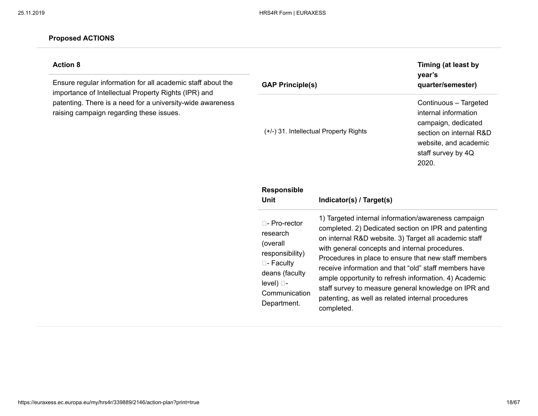# **Action 8**

Ensure regular information for all academic staff about the importance of Intellectual Property Rights (IPR) and patenting. There is a need for a university-wide awareness raising campaign regarding these issues.

| <b>GAP Principle(s)</b>                                                                                                                              |                                                                                                                                                                                                                                                                                                                                                                                                                                                                                                                             | Timing (at least by<br>year's<br>quarter/semester)                                                                                                      |
|------------------------------------------------------------------------------------------------------------------------------------------------------|-----------------------------------------------------------------------------------------------------------------------------------------------------------------------------------------------------------------------------------------------------------------------------------------------------------------------------------------------------------------------------------------------------------------------------------------------------------------------------------------------------------------------------|---------------------------------------------------------------------------------------------------------------------------------------------------------|
|                                                                                                                                                      | (+/-) 31. Intellectual Property Rights                                                                                                                                                                                                                                                                                                                                                                                                                                                                                      | Continuous - Targeted<br>internal information<br>campaign, dedicated<br>section on internal R&D<br>website, and academic<br>staff survey by 4Q<br>2020. |
| <b>Responsible</b><br><b>Unit</b>                                                                                                                    | Indicator(s) / Target(s)                                                                                                                                                                                                                                                                                                                                                                                                                                                                                                    |                                                                                                                                                         |
| $\Box$ - Pro-rector<br>research<br>(overall<br>responsibility)<br>$\square$ - Faculty<br>deans (faculty<br>level) □-<br>Communication<br>Department. | 1) Targeted internal information/awareness campaign<br>completed. 2) Dedicated section on IPR and patenting<br>on internal R&D website. 3) Target all academic staff<br>with general concepts and internal procedures.<br>Procedures in place to ensure that new staff members<br>receive information and that "old" staff members have<br>ample opportunity to refresh information. 4) Academic<br>staff survey to measure general knowledge on IPR and<br>patenting, as well as related internal procedures<br>completed. |                                                                                                                                                         |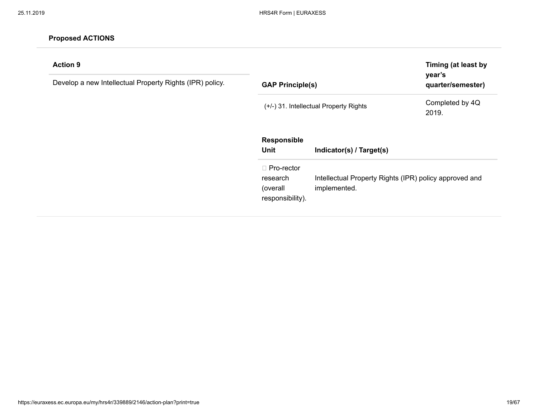| <b>Action 9</b><br>Develop a new Intellectual Property Rights (IPR) policy. | year's<br><b>GAP Principle(s)</b>                             |                                                                        | Timing (at least by<br>quarter/semester) |
|-----------------------------------------------------------------------------|---------------------------------------------------------------|------------------------------------------------------------------------|------------------------------------------|
|                                                                             |                                                               | (+/-) 31. Intellectual Property Rights                                 | Completed by 4Q<br>2019.                 |
|                                                                             | <b>Responsible</b><br>Unit                                    | Indicator(s) / Target(s)                                               |                                          |
|                                                                             | $\Box$ Pro-rector<br>research<br>(overall<br>responsibility). | Intellectual Property Rights (IPR) policy approved and<br>implemented. |                                          |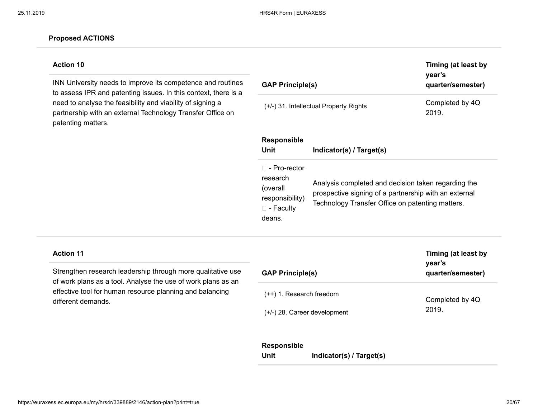### **Action 10**

INN University needs to improve its competence and routines to assess IPR and patenting issues. In this context, there is a need to analyse the feasibility and viability of signing a partnership with an external Technology Transfer Office on patenting matters.

| <b>GAP Principle(s)</b>                                                                         |                                                                                                                                                                  | Timing (at least by<br>year's<br>quarter/semester) |
|-------------------------------------------------------------------------------------------------|------------------------------------------------------------------------------------------------------------------------------------------------------------------|----------------------------------------------------|
|                                                                                                 | (+/-) 31. Intellectual Property Rights                                                                                                                           | Completed by 4Q<br>2019.                           |
| <b>Responsible</b><br>Unit                                                                      | Indicator(s) / Target(s)                                                                                                                                         |                                                    |
| $\Box$ - Pro-rector<br>research<br>(overall<br>responsibility)<br>$\square$ - Faculty<br>deans. | Analysis completed and decision taken regarding the<br>prospective signing of a partnership with an external<br>Technology Transfer Office on patenting matters. |                                                    |

### **Action 11**

Strengthen research leadership through more qualitative use of work plans as a tool. Analyse the use of work plans as an effective tool for human resource planning and balancing different demands.

| <b>GAP Principle(s)</b>        | Timing (at least by<br>year's<br>quarter/semester) |  |
|--------------------------------|----------------------------------------------------|--|
| $(++)$ 1. Research freedom     | Completed by 4Q                                    |  |
| $(+/-)$ 28. Career development | 2019.                                              |  |

#### **Responsible**

| Unit | Indicator(s) / Target(s) |  |
|------|--------------------------|--|
|------|--------------------------|--|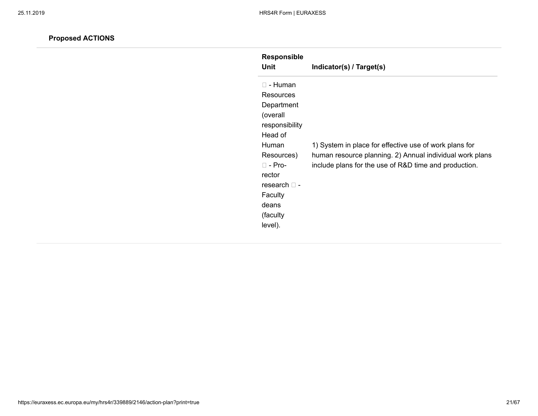| <b>Responsible</b><br>Unit | Indicator(s) / Target(s)                                 |
|----------------------------|----------------------------------------------------------|
| $\square$ - Human          |                                                          |
| <b>Resources</b>           |                                                          |
| Department                 |                                                          |
| (overall                   |                                                          |
| responsibility             |                                                          |
| Head of                    |                                                          |
| Human                      | 1) System in place for effective use of work plans for   |
| Resources)                 | human resource planning. 2) Annual individual work plans |
| $\Box$ - Pro-              | include plans for the use of R&D time and production.    |
| rector                     |                                                          |
| research $\sqcap$ -        |                                                          |
| Faculty                    |                                                          |
| deans                      |                                                          |
| (faculty                   |                                                          |
| level).                    |                                                          |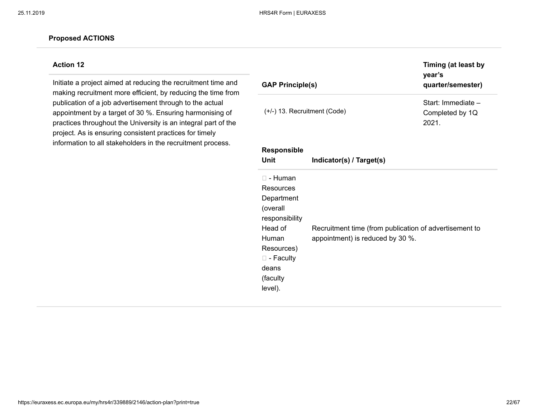### **Action 12**

Initiate a project aimed at reducing the recruitment time and making recruitment more efficient, by reducing the time from publication of a job advertisement through to the actual appointment by a target of 30 %. Ensuring harmonising of practices throughout the University is an integral part of the project. As is ensuring consistent practices for timely information to all stakeholders in the recruitment process.

| <b>GAP Principle(s)</b>                                                                                                                                             |                                                                                            | Timing (at least by<br>year's<br>quarter/semester) |
|---------------------------------------------------------------------------------------------------------------------------------------------------------------------|--------------------------------------------------------------------------------------------|----------------------------------------------------|
| $(+/-)$ 13. Recruitment (Code)                                                                                                                                      |                                                                                            | Start: Immediate -<br>Completed by 1Q<br>2021.     |
| <b>Responsible</b><br>Unit                                                                                                                                          | Indicator(s) / Target(s)                                                                   |                                                    |
| $\square$ - Human<br>Resources<br>Department<br>(overall<br>responsibility<br>Head of<br>Human<br>Resources)<br>$\square$ - Faculty<br>deans<br>(faculty<br>level). | Recruitment time (from publication of advertisement to<br>appointment) is reduced by 30 %. |                                                    |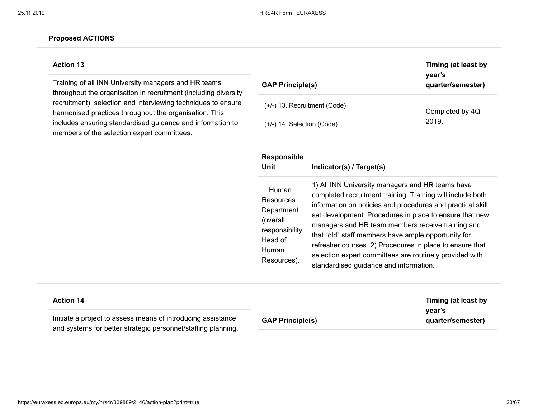### **Action 13**

Training of all INN University managers and HR teams throughout the organisation in recruitment (including diversity recruitment), selection and interviewing techniques to ensure harmonised practices throughout the organisation. This includes ensuring standardised guidance and information to members of the selection expert committees.

| <b>GAP Principle(s)</b>        | Timing (at least by<br>year's<br>quarter/semester) |  |
|--------------------------------|----------------------------------------------------|--|
| $(+/-)$ 13. Recruitment (Code) | Completed by 4Q                                    |  |
| $(+/-)$ 14. Selection (Code)   | 2019.                                              |  |

**Timing (at least by**

| <b>Responsible</b><br>Unit                                                                               | Indicator(s) / Target(s)                                                                                                                                                                                                                                                                                                                                                                                                                                                                                             |
|----------------------------------------------------------------------------------------------------------|----------------------------------------------------------------------------------------------------------------------------------------------------------------------------------------------------------------------------------------------------------------------------------------------------------------------------------------------------------------------------------------------------------------------------------------------------------------------------------------------------------------------|
| $\Box$ Human<br>Resources<br>Department<br>(overall<br>responsibility<br>Head of<br>Human<br>Resources). | 1) All INN University managers and HR teams have<br>completed recruitment training. Training will include both<br>information on policies and procedures and practical skill<br>set development. Procedures in place to ensure that new<br>managers and HR team members receive training and<br>that "old" staff members have ample opportunity for<br>refresher courses. 2) Procedures in place to ensure that<br>selection expert committees are routinely provided with<br>standardised guidance and information. |

| <b>Action 14</b>                                                                                                              |                         | Timing (at least by         |
|-------------------------------------------------------------------------------------------------------------------------------|-------------------------|-----------------------------|
| Initiate a project to assess means of introducing assistance<br>and systems for better strategic personnel/staffing planning. | <b>GAP Principle(s)</b> | vear's<br>quarter/semester) |
|                                                                                                                               |                         |                             |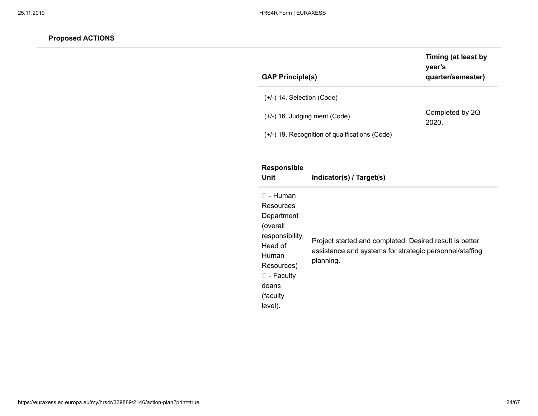| <b>GAP Principle(s)</b>                        | Timing (at least by<br>year's<br>quarter/semester) |
|------------------------------------------------|----------------------------------------------------|
| $(+/-)$ 14. Selection (Code)                   |                                                    |
| $(+/-)$ 16. Judging merit (Code)               | Completed by 2Q<br>2020.                           |
| (+/-) 19. Recognition of qualifications (Code) |                                                    |
|                                                |                                                    |

| <b>Responsible</b><br>Unit                                                                                                                                  | Indicator(s) / Target(s)                                                                                                        |
|-------------------------------------------------------------------------------------------------------------------------------------------------------------|---------------------------------------------------------------------------------------------------------------------------------|
| □ - Human<br>Resources<br>Department<br>(overall<br>responsibility<br>Head of<br>Human<br>Resources)<br>$\square$ - Faculty<br>deans<br>(faculty<br>level). | Project started and completed. Desired result is better<br>assistance and systems for strategic personnel/staffing<br>planning. |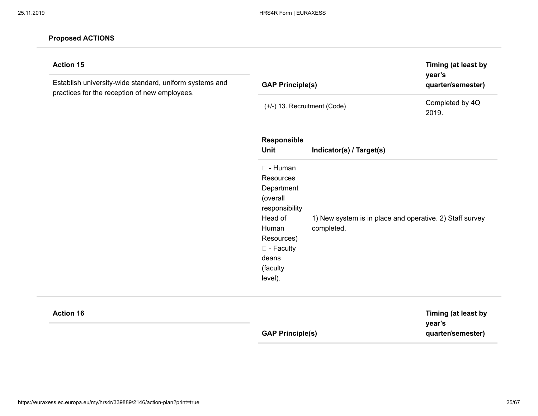| <b>Action 15</b><br>Establish university-wide standard, uniform systems and<br>practices for the reception of new employees. | <b>GAP Principle(s)</b>                                                                                                                                             |                                                                        | Timing (at least by<br>year's<br>quarter/semester) |
|------------------------------------------------------------------------------------------------------------------------------|---------------------------------------------------------------------------------------------------------------------------------------------------------------------|------------------------------------------------------------------------|----------------------------------------------------|
|                                                                                                                              | (+/-) 13. Recruitment (Code)                                                                                                                                        |                                                                        | Completed by 4Q<br>2019.                           |
|                                                                                                                              | Responsible<br><b>Unit</b>                                                                                                                                          | Indicator(s) / Target(s)                                               |                                                    |
|                                                                                                                              | $\square$ - Human<br>Resources<br>Department<br>(overall<br>responsibility<br>Head of<br>Human<br>Resources)<br>$\square$ - Faculty<br>deans<br>(faculty<br>level). | 1) New system is in place and operative. 2) Staff survey<br>completed. |                                                    |

**Action 16**

**GAP Principle(s)**

**Timing (at least by year's quarter/semester)**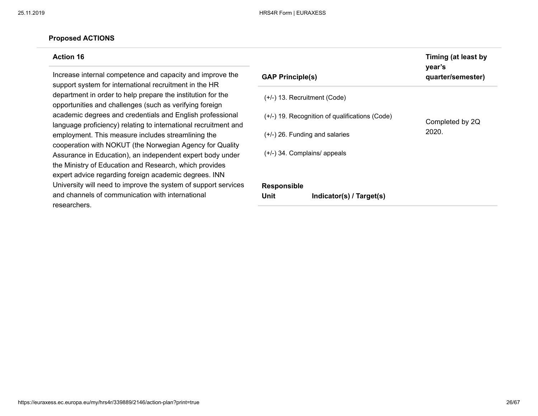#### **Action 16**

Increase internal competence and capacity and improve the support system for international recruitment in the HR department in order to help prepare the institution for the opportunities and challenges (such as verifying foreign academic degrees and credentials and English professional language proficiency) relating to international recruitment and employment. This measure includes streamlining the cooperation with NOKUT (the Norwegian Agency for Quality Assurance in Education), an independent expert body under the Ministry of Education and Research, which provides expert advice regarding foreign academic degrees. INN University will need to improve the system of support services and channels of communication with international researchers.

| <b>GAP Principle(s)</b>                        | . <i>.</i> .<br>year's<br>quarter/semester) |
|------------------------------------------------|---------------------------------------------|
| $(+/-)$ 13. Recruitment (Code)                 |                                             |
| (+/-) 19. Recognition of qualifications (Code) | Completed by 2Q                             |
| $(+/-)$ 26. Funding and salaries               | 2020.                                       |
| $(+/-)$ 34. Complains/ appeals                 |                                             |
|                                                |                                             |
| <b>Responsible</b>                             |                                             |

**Timing (at least by**

**Unit Indicator(s) / Target(s)**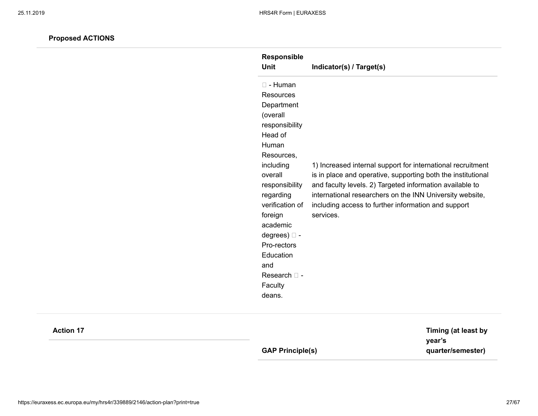| <b>Responsible</b><br>Unit                                                                                                                                                                                                                                                                                             | Indicator(s) / Target(s)                                                                                                                                                                                                                                                                                                |
|------------------------------------------------------------------------------------------------------------------------------------------------------------------------------------------------------------------------------------------------------------------------------------------------------------------------|-------------------------------------------------------------------------------------------------------------------------------------------------------------------------------------------------------------------------------------------------------------------------------------------------------------------------|
| $\Box$ - Human<br><b>Resources</b><br>Department<br>(overall<br>responsibility<br>Head of<br>Human<br>Resources,<br>including<br>overall<br>responsibility<br>regarding<br>verification of<br>foreign<br>academic<br>degrees) $\square$ -<br>Pro-rectors<br>Education<br>and<br>Research $\Box$ -<br>Faculty<br>deans. | 1) Increased internal support for international recruitment<br>is in place and operative, supporting both the institutional<br>and faculty levels. 2) Targeted information available to<br>international researchers on the INN University website,<br>including access to further information and support<br>services. |

| <b>Action 17</b> |                         | Timing (at least by         |
|------------------|-------------------------|-----------------------------|
|                  | <b>GAP Principle(s)</b> | year's<br>quarter/semester) |
|                  |                         |                             |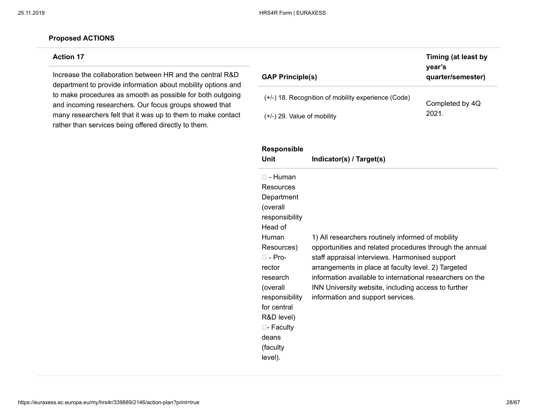### **Action 17**

Increase the collaboration between HR and the central R&D department to provide information about mobility options and to make procedures as smooth as possible for both outgoing and incoming researchers. Our focus groups showed that many researchers felt that it was up to them to make contact rather than services being offered directly to them.

| <b>GAP Principle(s)</b>                               | Timing (at least by<br>year's<br>quarter/semester) |
|-------------------------------------------------------|----------------------------------------------------|
| $(+/-)$ 18. Recognition of mobility experience (Code) | Completed by 4Q                                    |
| $(+/-)$ 29. Value of mobility                         | 2021.                                              |

| <b>Responsible</b><br>Unit                                                                                                                                                                                                                                      | Indicator(s) / Target(s)                                                                                                                                                                                                                                                                                                                                                       |
|-----------------------------------------------------------------------------------------------------------------------------------------------------------------------------------------------------------------------------------------------------------------|--------------------------------------------------------------------------------------------------------------------------------------------------------------------------------------------------------------------------------------------------------------------------------------------------------------------------------------------------------------------------------|
| $\Box$ - Human<br>Resources<br>Department<br>(overall<br>responsibility<br>Head of<br>Human<br>Resources)<br>$\Box$ - Pro-<br>rector<br>research<br>(overall<br>responsibility<br>for central<br>R&D level)<br>$\Box$ - Faculty<br>deans<br>(faculty<br>level). | 1) All researchers routinely informed of mobility<br>opportunities and related procedures through the annual<br>staff appraisal interviews. Harmonised support<br>arrangements in place at faculty level. 2) Targeted<br>information available to international researchers on the<br>INN University website, including access to further<br>information and support services. |
|                                                                                                                                                                                                                                                                 |                                                                                                                                                                                                                                                                                                                                                                                |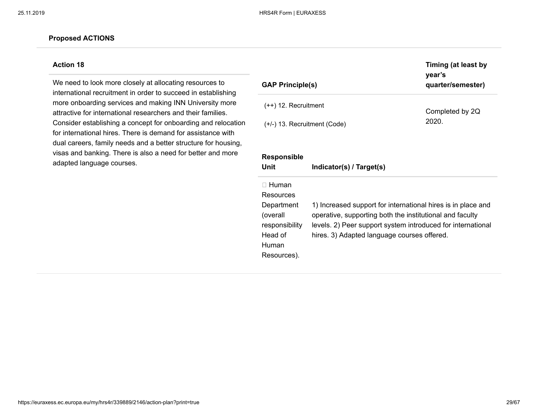#### **Action 18**

We need to look more closely at allocating resources to international recruitment in order to succeed in establishing more onboarding services and making INN University more attractive for international researchers and their families. Consider establishing a concept for onboarding and relocation for international hires. There is demand for assistance with dual careers, family needs and a better structure for housing, visas and banking. There is also a need for better and more adapted language courses.

| <b>GAP Principle(s)</b>                                                                                    |                                                                                                                                                                                                                                        | Timing (at least by<br>year's<br>quarter/semester) |
|------------------------------------------------------------------------------------------------------------|----------------------------------------------------------------------------------------------------------------------------------------------------------------------------------------------------------------------------------------|----------------------------------------------------|
| $(++)$ 12. Recruitment                                                                                     |                                                                                                                                                                                                                                        | Completed by 2Q                                    |
| $(+/-)$ 13. Recruitment (Code)                                                                             |                                                                                                                                                                                                                                        | 2020.                                              |
| <b>Responsible</b><br>Unit                                                                                 | Indicator(s) / Target(s)                                                                                                                                                                                                               |                                                    |
| $\sqcap$ Human<br>Resources<br>Department<br>(overall<br>responsibility<br>Head of<br>Human<br>Resources). | 1) Increased support for international hires is in place and<br>operative, supporting both the institutional and faculty<br>levels. 2) Peer support system introduced for international<br>hires. 3) Adapted language courses offered. |                                                    |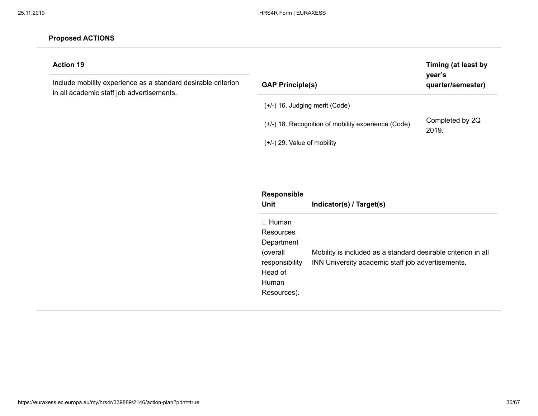| (+/-) 16. Judging merit (Code)<br>Completed by 2Q<br>(+/-) 18. Recognition of mobility experience (Code)<br>2019.<br>$(+/-)$ 29. Value of mobility<br>Responsible<br><b>Unit</b><br>Indicator(s) / Target(s)<br>$\Box$ Human<br>Resources<br>Department<br>(overall<br>Mobility is included as a standard desirable criterion in all<br>INN University academic staff job advertisements.<br>responsibility<br>Head of<br>Human | <b>Action 19</b><br>Include mobility experience as a standard desirable criterion<br>in all academic staff job advertisements. | <b>GAP Principle(s)</b> | Timing (at least by<br>year's<br>quarter/semester) |
|---------------------------------------------------------------------------------------------------------------------------------------------------------------------------------------------------------------------------------------------------------------------------------------------------------------------------------------------------------------------------------------------------------------------------------|--------------------------------------------------------------------------------------------------------------------------------|-------------------------|----------------------------------------------------|
|                                                                                                                                                                                                                                                                                                                                                                                                                                 |                                                                                                                                |                         |                                                    |
|                                                                                                                                                                                                                                                                                                                                                                                                                                 |                                                                                                                                |                         |                                                    |
|                                                                                                                                                                                                                                                                                                                                                                                                                                 |                                                                                                                                |                         |                                                    |
|                                                                                                                                                                                                                                                                                                                                                                                                                                 |                                                                                                                                |                         |                                                    |
|                                                                                                                                                                                                                                                                                                                                                                                                                                 |                                                                                                                                |                         |                                                    |
|                                                                                                                                                                                                                                                                                                                                                                                                                                 |                                                                                                                                |                         |                                                    |
|                                                                                                                                                                                                                                                                                                                                                                                                                                 |                                                                                                                                |                         |                                                    |
|                                                                                                                                                                                                                                                                                                                                                                                                                                 |                                                                                                                                |                         |                                                    |
|                                                                                                                                                                                                                                                                                                                                                                                                                                 |                                                                                                                                |                         |                                                    |
|                                                                                                                                                                                                                                                                                                                                                                                                                                 |                                                                                                                                |                         |                                                    |
|                                                                                                                                                                                                                                                                                                                                                                                                                                 |                                                                                                                                | Resources).             |                                                    |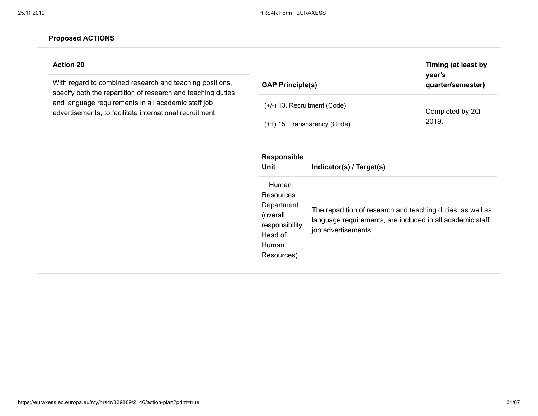### **Action 20**

With regard to combined research and teaching positions, specify both the repartition of research and teaching duties and language requirements in all academic staff job advertisements, to facilitate international recruitment.

| <b>GAP Principle(s)</b>                                                                                  |                                                                                                                                                 | Timing (at least by<br>year's<br>quarter/semester) |
|----------------------------------------------------------------------------------------------------------|-------------------------------------------------------------------------------------------------------------------------------------------------|----------------------------------------------------|
| $(+/-)$ 13. Recruitment (Code)                                                                           | (++) 15. Transparency (Code)                                                                                                                    | Completed by 2Q<br>2019.                           |
| <b>Responsible</b><br>Unit                                                                               | Indicator(s) / Target(s)                                                                                                                        |                                                    |
| $\Box$ Human<br>Resources<br>Department<br>(overall<br>responsibility<br>Head of<br>Human<br>Resources). | The repartition of research and teaching duties, as well as<br>language requirements, are included in all academic staff<br>job advertisements. |                                                    |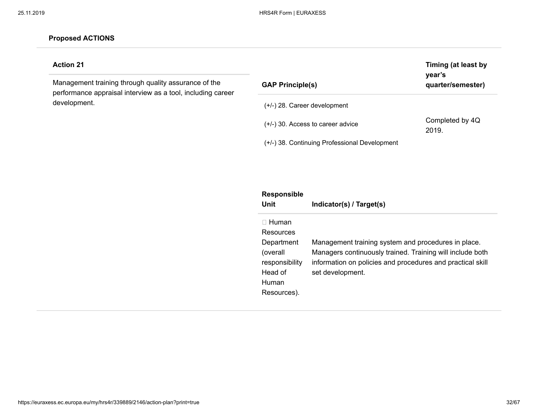# **Action 21**

Management training through quality assurance of the performance appraisal interview as a tool, including career development.

| <b>GAP Principle(s)</b>                       | Timing (at least by<br>year's<br>quarter/semester) |
|-----------------------------------------------|----------------------------------------------------|
| $(+/-)$ 28. Career development                |                                                    |
| $(+/-)$ 30. Access to career advice           | Completed by 4Q<br>2019.                           |
| (+/-) 38. Continuing Professional Development |                                                    |

| <b>Responsible</b><br>Unit                                                                               | Indicator(s) / Target(s)                                                                                                                                                                           |
|----------------------------------------------------------------------------------------------------------|----------------------------------------------------------------------------------------------------------------------------------------------------------------------------------------------------|
| $\Box$ Human<br>Resources<br>Department<br>(overall<br>responsibility<br>Head of<br>Human<br>Resources). | Management training system and procedures in place.<br>Managers continuously trained. Training will include both<br>information on policies and procedures and practical skill<br>set development. |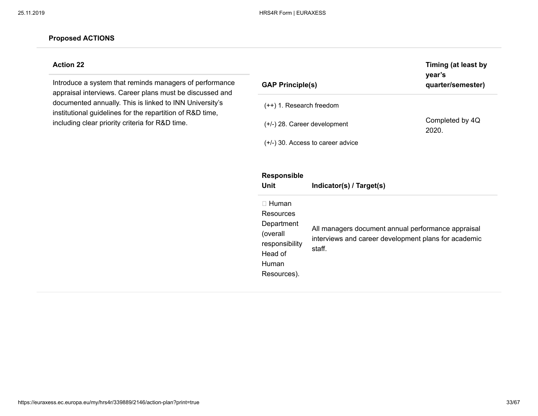Resources).

#### **Proposed ACTIONS**

### **Action 22**

Introduce a system that reminds managers of performance appraisal interviews. Career plans must be discussed and documented annually. This is linked to INN University's institutional guidelines for the repartition of R&D time, including clear priority criteria for R&D time.

| <b>GAP Principle(s)</b>                                                                   |                                                                                                                      | Timing (at least by<br>year's<br>quarter/semester) |  |  |
|-------------------------------------------------------------------------------------------|----------------------------------------------------------------------------------------------------------------------|----------------------------------------------------|--|--|
| $(++)$ 1. Research freedom                                                                |                                                                                                                      |                                                    |  |  |
| $(+/-)$ 28. Career development                                                            | Completed by 4Q<br>2020.                                                                                             |                                                    |  |  |
| $(+/-)$ 30. Access to career advice                                                       |                                                                                                                      |                                                    |  |  |
| Responsible<br>Unit                                                                       | Indicator(s) / Target(s)                                                                                             |                                                    |  |  |
| $\Box$ Human<br>Resources<br>Department<br>(overall<br>responsibility<br>Head of<br>Human | All managers document annual performance appraisal<br>interviews and career development plans for academic<br>staff. |                                                    |  |  |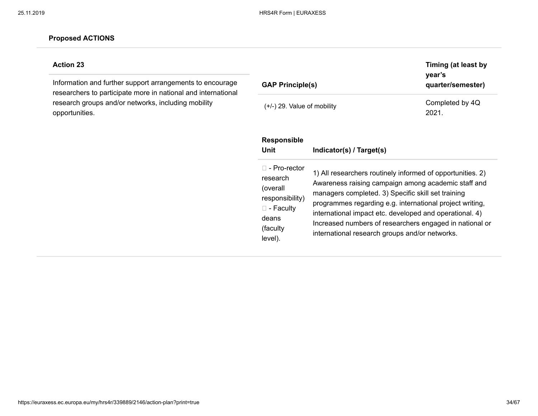# **Action 23**

Information and further support arrangements to encourage researchers to participate more in national and international research groups and/or networks, including mobility opportunities.

| <b>GAP Principle(s)</b>                                                                                               |                                                                                                                                                                                                                                                                                                                                                                                                             | Timing (at least by<br>year's<br>quarter/semester) |
|-----------------------------------------------------------------------------------------------------------------------|-------------------------------------------------------------------------------------------------------------------------------------------------------------------------------------------------------------------------------------------------------------------------------------------------------------------------------------------------------------------------------------------------------------|----------------------------------------------------|
| $(+/-)$ 29. Value of mobility                                                                                         |                                                                                                                                                                                                                                                                                                                                                                                                             | Completed by 4Q<br>2021.                           |
| <b>Responsible</b><br>Unit                                                                                            | Indicator(s) / Target(s)                                                                                                                                                                                                                                                                                                                                                                                    |                                                    |
| $\Box$ - Pro-rector<br>research<br>(overall<br>responsibility)<br>$\square$ - Faculty<br>deans<br>(faculty<br>level). | 1) All researchers routinely informed of opportunities. 2)<br>Awareness raising campaign among academic staff and<br>managers completed. 3) Specific skill set training<br>programmes regarding e.g. international project writing,<br>international impact etc. developed and operational. 4)<br>Increased numbers of researchers engaged in national or<br>international research groups and/or networks. |                                                    |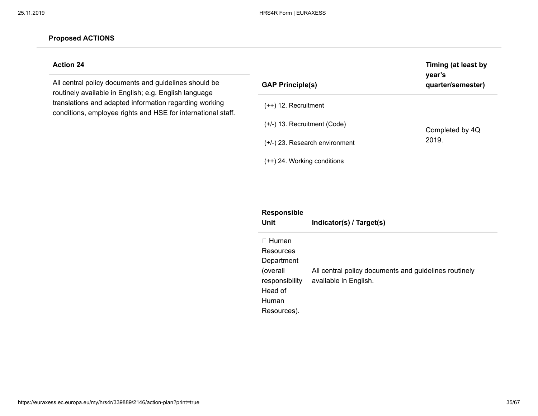# **Action 24**

All central policy documents and guidelines should be routinely available in English; e.g. English language translations and adapted information regarding working conditions, employee rights and HSE for international staff.

| <b>GAP Principle(s)</b>          | year's<br>quarter/semester) |
|----------------------------------|-----------------------------|
| $(++)$ 12. Recruitment           |                             |
| $(+/-)$ 13. Recruitment (Code)   | Completed by 4Q             |
| $(+/-)$ 23. Research environment | 2019.                       |
| $(++)$ 24. Working conditions    |                             |

**Timing (at least by**

| <b>Responsible</b><br>Unit                                                                               | Indicator(s) / Target(s)                                                       |
|----------------------------------------------------------------------------------------------------------|--------------------------------------------------------------------------------|
| $\Box$ Human<br>Resources<br>Department<br>(overall<br>responsibility<br>Head of<br>Human<br>Resources). | All central policy documents and guidelines routinely<br>available in English. |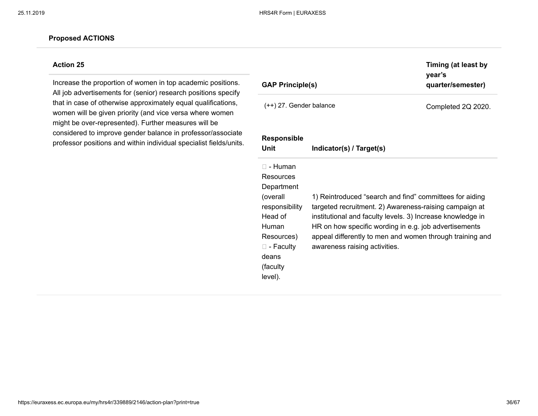### **Action 25**

Increase the proportion of women in top academic positions. All job advertisements for (senior) research positions specify that in case of otherwise approximately equal qualifications, women will be given priority (and vice versa where women might be over-represented). Further measures will be considered to improve gender balance in professor/associate professor positions and within individual specialist fields/units.

| <b>GAP Principle(s)</b>                                                                                                                                          |                                                                                                                                                                                                                                                                                                                                       | Timing (at least by<br>year's<br>quarter/semester) |
|------------------------------------------------------------------------------------------------------------------------------------------------------------------|---------------------------------------------------------------------------------------------------------------------------------------------------------------------------------------------------------------------------------------------------------------------------------------------------------------------------------------|----------------------------------------------------|
| $(++)$ 27. Gender balance                                                                                                                                        |                                                                                                                                                                                                                                                                                                                                       | Completed 2Q 2020.                                 |
| <b>Responsible</b><br>Unit                                                                                                                                       | Indicator(s) / Target(s)                                                                                                                                                                                                                                                                                                              |                                                    |
| $\Box$ - Human<br>Resources<br>Department<br>(overall<br>responsibility<br>Head of<br>Human<br>Resources)<br>$\square$ - Faculty<br>deans<br>(faculty<br>level). | 1) Reintroduced "search and find" committees for aiding<br>targeted recruitment. 2) Awareness-raising campaign at<br>institutional and faculty levels. 3) Increase knowledge in<br>HR on how specific wording in e.g. job advertisements<br>appeal differently to men and women through training and<br>awareness raising activities. |                                                    |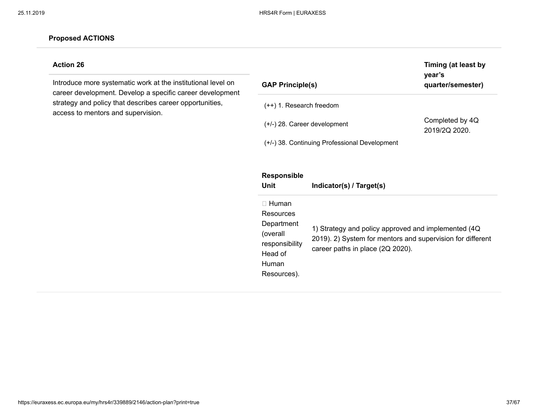# **Action 26**

Introduce more systematic work at the institutional level on career development. Develop a specific career development strategy and policy that describes career opportunities, access to mentors and supervision.

| <b>GAP Principle(s)</b>                                                                                  |                                                                                                                                                        | Timing (at least by<br>year's<br>quarter/semester) |
|----------------------------------------------------------------------------------------------------------|--------------------------------------------------------------------------------------------------------------------------------------------------------|----------------------------------------------------|
| $(++)$ 1. Research freedom                                                                               |                                                                                                                                                        |                                                    |
| (+/-) 28. Career development                                                                             |                                                                                                                                                        | Completed by 4Q<br>2019/2Q 2020.                   |
|                                                                                                          | (+/-) 38. Continuing Professional Development                                                                                                          |                                                    |
| <b>Responsible</b><br>Unit                                                                               | Indicator(s) / Target(s)                                                                                                                               |                                                    |
| $\Box$ Human<br>Resources<br>Department<br>(overall<br>responsibility<br>Head of<br>Human<br>Resources). | 1) Strategy and policy approved and implemented (4Q)<br>2019). 2) System for mentors and supervision for different<br>career paths in place (2Q 2020). |                                                    |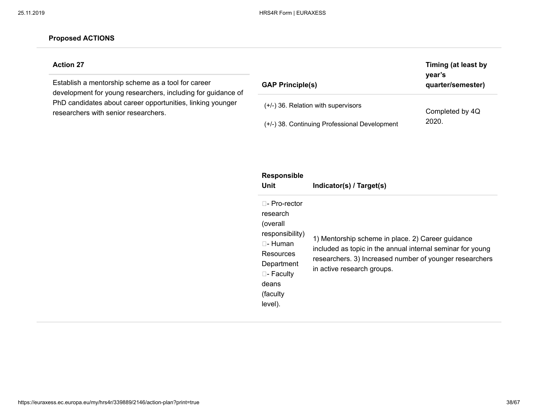### **Action 27**

Establish a mentorship scheme as a tool for career development for young researchers, including for guidance of PhD candidates about career opportunities, linking younger researchers with senior researchers.

| <b>GAP Principle(s)</b>                       | Timing (at least by<br>year's<br>quarter/semester) |
|-----------------------------------------------|----------------------------------------------------|
| $(+/-)$ 36. Relation with supervisors         | Completed by 4Q                                    |
| (+/-) 38. Continuing Professional Development | 2020.                                              |

| <b>Responsible</b><br>Unit                                                                                                                                   | Indicator(s) / Target(s)                                                                                                                                                                                 |
|--------------------------------------------------------------------------------------------------------------------------------------------------------------|----------------------------------------------------------------------------------------------------------------------------------------------------------------------------------------------------------|
| □- Pro-rector<br>research<br>(overall<br>responsibility)<br>$\Box$ - Human<br>Resources<br>Department<br>$\square$ - Faculty<br>deans<br>(faculty<br>level). | 1) Mentorship scheme in place. 2) Career guidance<br>included as topic in the annual internal seminar for young<br>researchers. 3) Increased number of younger researchers<br>in active research groups. |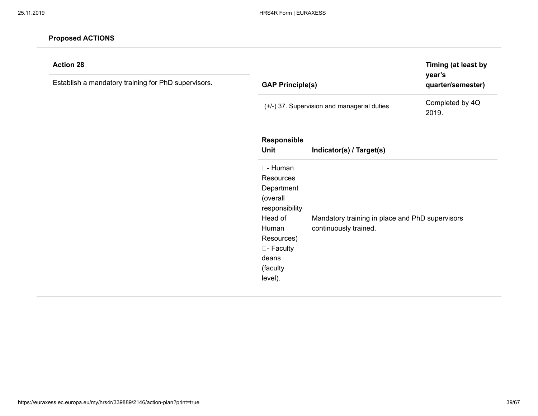| <b>Action 28</b><br>Establish a mandatory training for PhD supervisors. | year's<br><b>GAP Principle(s)</b>                                                                                                                        |                                                                          | Timing (at least by<br>quarter/semester) |
|-------------------------------------------------------------------------|----------------------------------------------------------------------------------------------------------------------------------------------------------|--------------------------------------------------------------------------|------------------------------------------|
|                                                                         |                                                                                                                                                          | (+/-) 37. Supervision and managerial duties                              | Completed by 4Q<br>2019.                 |
|                                                                         | Responsible<br>Unit                                                                                                                                      | Indicator(s) / Target(s)                                                 |                                          |
|                                                                         | □- Human<br><b>Resources</b><br>Department<br>(overall<br>responsibility<br>Head of<br>Human<br>Resources)<br>□- Faculty<br>deans<br>(faculty<br>level). | Mandatory training in place and PhD supervisors<br>continuously trained. |                                          |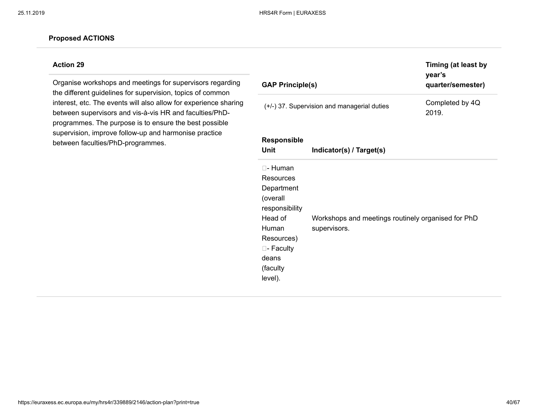### **Action 29**

Organise workshops and meetings for supervisors regarding the different guidelines for supervision, topics of common interest, etc. The events will also allow for experience sharing between supervisors and vis-à-vis HR and faculties/PhDprogrammes. The purpose is to ensure the best possible supervision, improve follow-up and harmonise practice between faculties/PhD-programmes.

| <b>GAP Principle(s)</b>                                                                                                                           |                                                                    | Timing (at least by<br>year's<br>quarter/semester) |
|---------------------------------------------------------------------------------------------------------------------------------------------------|--------------------------------------------------------------------|----------------------------------------------------|
|                                                                                                                                                   | (+/-) 37. Supervision and managerial duties                        | Completed by 4Q<br>2019.                           |
| <b>Responsible</b><br>Unit                                                                                                                        | Indicator(s) / Target(s)                                           |                                                    |
| □- Human<br>Resources<br>Department<br>(overall<br>responsibility<br>Head of<br>Human<br>Resources)<br>□- Faculty<br>deans<br>(faculty<br>level). | Workshops and meetings routinely organised for PhD<br>supervisors. |                                                    |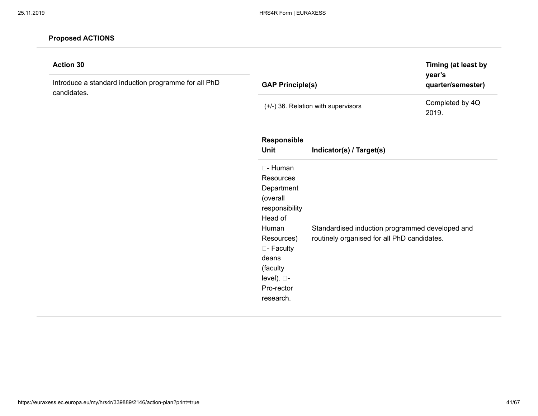| <b>Action 30</b><br>Introduce a standard induction programme for all PhD<br>candidates. | <b>GAP Principle(s)</b>                                                                                                                                                                |                                                                                                | Timing (at least by<br>year's<br>quarter/semester) |
|-----------------------------------------------------------------------------------------|----------------------------------------------------------------------------------------------------------------------------------------------------------------------------------------|------------------------------------------------------------------------------------------------|----------------------------------------------------|
|                                                                                         |                                                                                                                                                                                        | (+/-) 36. Relation with supervisors                                                            | Completed by 4Q<br>2019.                           |
|                                                                                         | Responsible<br><b>Unit</b>                                                                                                                                                             | Indicator(s) / Target(s)                                                                       |                                                    |
|                                                                                         | □- Human<br><b>Resources</b><br>Department<br>(overall<br>responsibility<br>Head of<br>Human<br>Resources)<br>□- Faculty<br>deans<br>(faculty<br>level). □-<br>Pro-rector<br>research. | Standardised induction programmed developed and<br>routinely organised for all PhD candidates. |                                                    |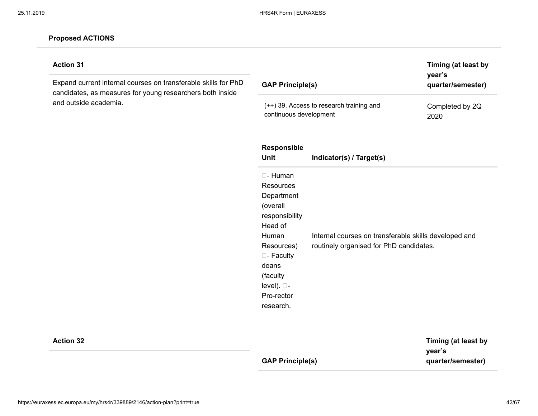| <b>Action 31</b><br>Expand current internal courses on transferable skills for PhD<br>candidates, as measures for young researchers both inside<br>and outside academia. | <b>GAP Principle(s)</b><br>(++) 39. Access to research training and<br>continuous development            |                                                                                                  | Timing (at least by<br>year's<br>quarter/semester) |  |
|--------------------------------------------------------------------------------------------------------------------------------------------------------------------------|----------------------------------------------------------------------------------------------------------|--------------------------------------------------------------------------------------------------|----------------------------------------------------|--|
|                                                                                                                                                                          |                                                                                                          |                                                                                                  | Completed by 2Q<br>2020                            |  |
|                                                                                                                                                                          | Responsible<br>Unit                                                                                      | Indicator(s) / Target(s)                                                                         |                                                    |  |
|                                                                                                                                                                          | □- Human<br><b>Resources</b><br>Department<br>(overall<br>responsibility<br>Head of                      |                                                                                                  |                                                    |  |
|                                                                                                                                                                          | Human<br>Resources)<br>□- Faculty<br>deans<br>(faculty<br>level). $\square$ -<br>Pro-rector<br>research. | Internal courses on transferable skills developed and<br>routinely organised for PhD candidates. |                                                    |  |
| <b>Action 32</b>                                                                                                                                                         | <b>GAP Principle(s)</b>                                                                                  |                                                                                                  | Timing (at least by<br>year's<br>quarter/semester) |  |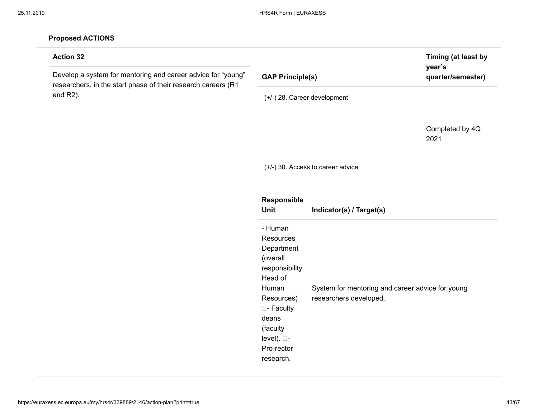and in

| <b>Action 32</b>                                                                                                              |                                                                                                                                                                                         |                                                                            | Timing (at least by<br>year's |
|-------------------------------------------------------------------------------------------------------------------------------|-----------------------------------------------------------------------------------------------------------------------------------------------------------------------------------------|----------------------------------------------------------------------------|-------------------------------|
| Develop a system for mentoring and career advice for "young"<br>researchers, in the start phase of their research careers (R1 | <b>GAP Principle(s)</b>                                                                                                                                                                 |                                                                            | quarter/semester)             |
| and $R2$ ).                                                                                                                   | (+/-) 28. Career development                                                                                                                                                            |                                                                            |                               |
|                                                                                                                               |                                                                                                                                                                                         |                                                                            | Completed by 4Q<br>2021       |
|                                                                                                                               |                                                                                                                                                                                         | (+/-) 30. Access to career advice                                          |                               |
|                                                                                                                               | Responsible<br>Unit                                                                                                                                                                     | Indicator(s) / Target(s)                                                   |                               |
|                                                                                                                               | - Human<br>Resources<br>Department<br>(overall<br>responsibility<br>Head of<br>Human<br>Resources)<br>□- Faculty<br>deans<br>(faculty<br>level). $\square$ -<br>Pro-rector<br>research. | System for mentoring and career advice for young<br>researchers developed. |                               |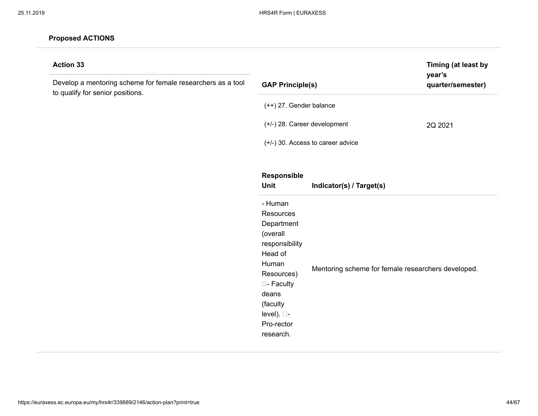| <b>Action 33</b>                                                                                |                                   | Timing (at least by<br>year's                      |                   |  |
|-------------------------------------------------------------------------------------------------|-----------------------------------|----------------------------------------------------|-------------------|--|
| Develop a mentoring scheme for female researchers as a tool<br>to qualify for senior positions. | <b>GAP Principle(s)</b>           |                                                    | quarter/semester) |  |
|                                                                                                 | (++) 27. Gender balance           |                                                    |                   |  |
|                                                                                                 | (+/-) 28. Career development      |                                                    | 2Q 2021           |  |
|                                                                                                 | (+/-) 30. Access to career advice |                                                    |                   |  |
|                                                                                                 | Responsible                       |                                                    |                   |  |
|                                                                                                 | Unit                              | Indicator(s) / Target(s)                           |                   |  |
|                                                                                                 | - Human                           |                                                    |                   |  |
|                                                                                                 | Resources                         |                                                    |                   |  |
|                                                                                                 | Department                        |                                                    |                   |  |
|                                                                                                 | (overall                          |                                                    |                   |  |
|                                                                                                 | responsibility                    |                                                    |                   |  |
|                                                                                                 | Head of                           |                                                    |                   |  |
|                                                                                                 | Human                             |                                                    |                   |  |
|                                                                                                 | Resources)                        | Mentoring scheme for female researchers developed. |                   |  |
|                                                                                                 | □- Faculty                        |                                                    |                   |  |
|                                                                                                 | deans                             |                                                    |                   |  |
|                                                                                                 | (faculty                          |                                                    |                   |  |
|                                                                                                 | level). □-                        |                                                    |                   |  |
|                                                                                                 | Pro-rector                        |                                                    |                   |  |
|                                                                                                 | research.                         |                                                    |                   |  |
|                                                                                                 |                                   |                                                    |                   |  |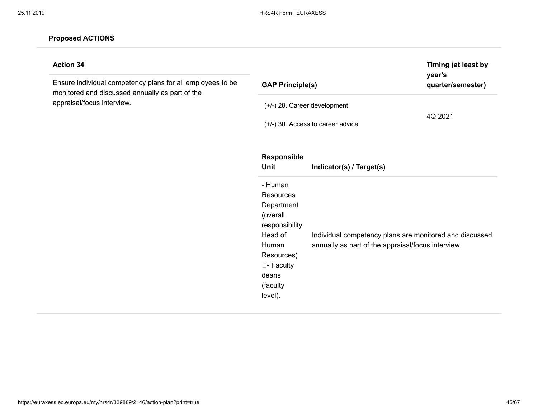| <b>Action 34</b><br>Ensure individual competency plans for all employees to be<br>monitored and discussed annually as part of the | Timing (at least by<br>year's<br><b>GAP Principle(s)</b><br>quarter/semester)                                                                    |                                                                                                               |         |
|-----------------------------------------------------------------------------------------------------------------------------------|--------------------------------------------------------------------------------------------------------------------------------------------------|---------------------------------------------------------------------------------------------------------------|---------|
| appraisal/focus interview.                                                                                                        |                                                                                                                                                  | (+/-) 28. Career development<br>$(+/-)$ 30. Access to career advice                                           | 4Q 2021 |
|                                                                                                                                   | Responsible<br>Unit                                                                                                                              | Indicator(s) / Target(s)                                                                                      |         |
|                                                                                                                                   | - Human<br>Resources<br>Department<br>(overall<br>responsibility<br>Head of<br>Human<br>Resources)<br>□- Faculty<br>deans<br>(faculty<br>level). | Individual competency plans are monitored and discussed<br>annually as part of the appraisal/focus interview. |         |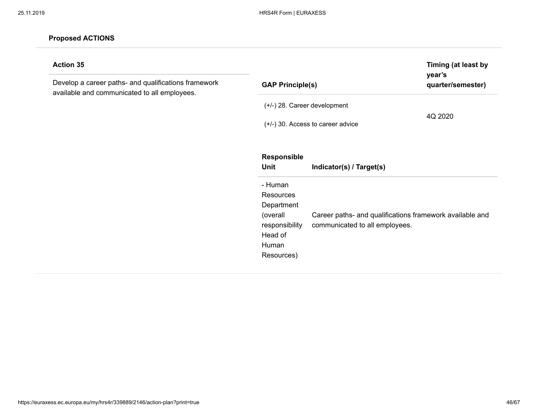| <b>Action 35</b><br>Develop a career paths- and qualifications framework<br>available and communicated to all employees. | Timing (at least by<br>year's<br><b>GAP Principle(s)</b><br>quarter/semester)                                                                                                                           |  |  |
|--------------------------------------------------------------------------------------------------------------------------|---------------------------------------------------------------------------------------------------------------------------------------------------------------------------------------------------------|--|--|
|                                                                                                                          | (+/-) 28. Career development<br>4Q 2020<br>$(+/-)$ 30. Access to career advice                                                                                                                          |  |  |
|                                                                                                                          | <b>Responsible</b><br>Unit<br>Indicator(s) / Target(s)                                                                                                                                                  |  |  |
|                                                                                                                          | - Human<br><b>Resources</b><br>Department<br>Career paths- and qualifications framework available and<br>(overall<br>communicated to all employees.<br>responsibility<br>Head of<br>Human<br>Resources) |  |  |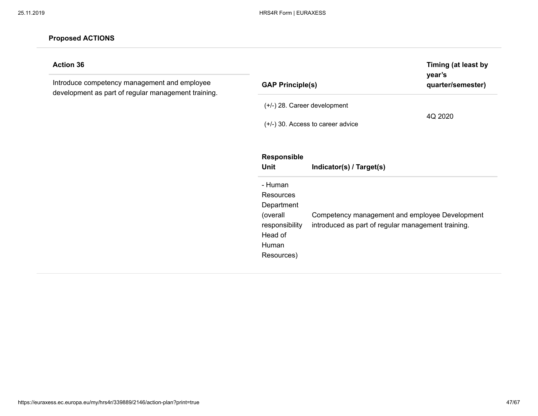| <b>Action 36</b><br>Introduce competency management and employee<br>development as part of regular management training. | Timing (at least by<br>year's<br><b>GAP Principle(s)</b><br>quarter/semester)                                                                                                                          |  |  |
|-------------------------------------------------------------------------------------------------------------------------|--------------------------------------------------------------------------------------------------------------------------------------------------------------------------------------------------------|--|--|
|                                                                                                                         | $(+/-)$ 28. Career development<br>4Q 2020<br>$(+/-)$ 30. Access to career advice                                                                                                                       |  |  |
|                                                                                                                         | Responsible<br>Unit<br>Indicator(s) / Target(s)<br>- Human                                                                                                                                             |  |  |
|                                                                                                                         | <b>Resources</b><br>Department<br>Competency management and employee Development<br>(overall<br>introduced as part of regular management training.<br>responsibility<br>Head of<br>Human<br>Resources) |  |  |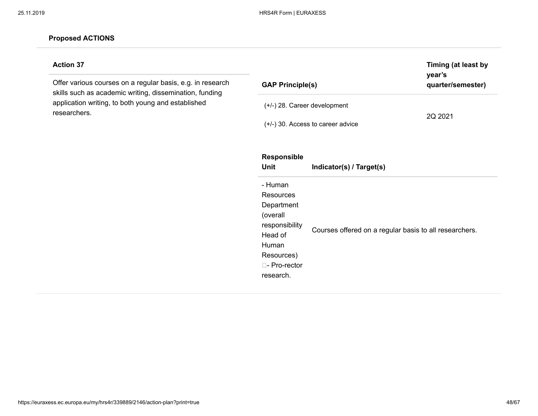### **Action 37**

Offer various courses on a regular basis, e.g. in research skills such as academic writing, dissemination, funding application writing, to both young and established researchers.

| <b>GAP Principle(s)</b>                                                                                                          |                                                        | Timing (at least by<br>year's<br>quarter/semester) |
|----------------------------------------------------------------------------------------------------------------------------------|--------------------------------------------------------|----------------------------------------------------|
| (+/-) 28. Career development                                                                                                     | (+/-) 30. Access to career advice                      | 2Q 2021                                            |
| <b>Responsible</b><br>Unit                                                                                                       | Indicator(s) / Target(s)                               |                                                    |
| - Human<br>Resources<br>Department<br>(overall<br>responsibility<br>Head of<br>Human<br>Resources)<br>□- Pro-rector<br>research. | Courses offered on a regular basis to all researchers. |                                                    |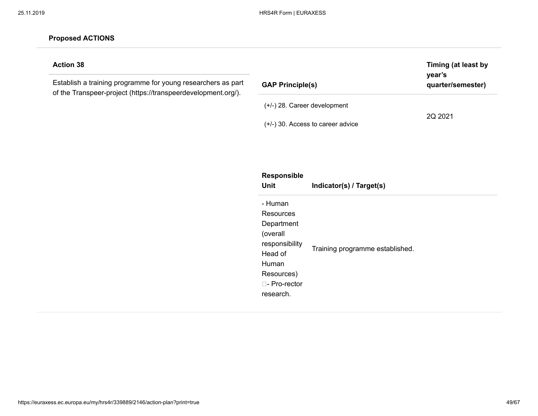| <b>Action 38</b><br>Establish a training programme for young researchers as part<br>of the Transpeer-project (https://transpeerdevelopment.org/). | <b>GAP Principle(s)</b>             | Timing (at least by<br>year's<br>quarter/semester) |  |
|---------------------------------------------------------------------------------------------------------------------------------------------------|-------------------------------------|----------------------------------------------------|--|
|                                                                                                                                                   | $(+/-)$ 28. Career development      |                                                    |  |
|                                                                                                                                                   | $(+/-)$ 30. Access to career advice | 2Q 2021                                            |  |
|                                                                                                                                                   |                                     |                                                    |  |

| <b>Responsible</b><br>Unit                                                                                                             | Indicator(s) / Target(s)        |  |
|----------------------------------------------------------------------------------------------------------------------------------------|---------------------------------|--|
| - Human<br>Resources<br>Department<br>(overall<br>responsibility<br>Head of<br>Human<br>Resources)<br>$\Box$ - Pro-rector<br>research. | Training programme established. |  |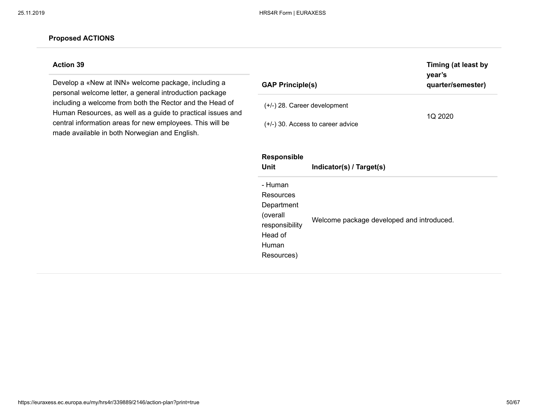### **Action 39**

Develop a «New at INN» welcome package, including a personal welcome letter, a general introduction package including a welcome from both the Rector and the Head of Human Resources, as well as a guide to practical issues and central information areas for new employees. This will be made available in both Norwegian and English.

| <b>GAP Principle(s)</b>                                                                            |                                     | Timing (at least by<br>year's<br>quarter/semester) |  |
|----------------------------------------------------------------------------------------------------|-------------------------------------|----------------------------------------------------|--|
| $(+/-)$ 28. Career development                                                                     | $(+/-)$ 30. Access to career advice | 1Q 2020                                            |  |
| <b>Responsible</b><br>Unit                                                                         | Indicator(s) / Target(s)            |                                                    |  |
| - Human<br>Resources<br>Department<br>(overall<br>responsibility<br>Head of<br>Human<br>Resources) |                                     | Welcome package developed and introduced.          |  |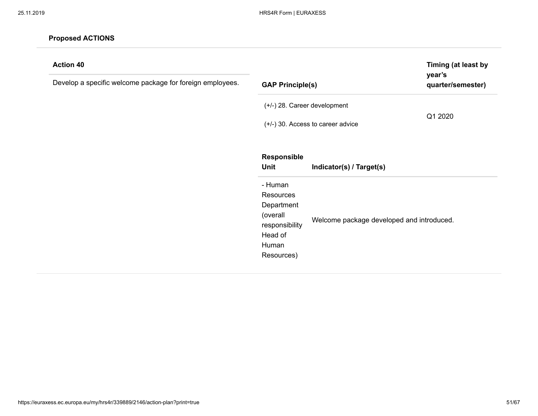| <b>Action 40</b><br>Develop a specific welcome package for foreign employees. | Timing (at least by<br>year's<br><b>GAP Principle(s)</b><br>quarter/semester)                               |                                                                       |         |
|-------------------------------------------------------------------------------|-------------------------------------------------------------------------------------------------------------|-----------------------------------------------------------------------|---------|
|                                                                               | (+/-) 28. Career development                                                                                | $(+/-)$ 30. Access to career advice                                   | Q1 2020 |
|                                                                               | Responsible<br>Unit<br>- Human<br>Resources<br>Department<br>(overall<br>responsibility<br>Head of<br>Human | Indicator(s) / Target(s)<br>Welcome package developed and introduced. |         |
|                                                                               | Resources)                                                                                                  |                                                                       |         |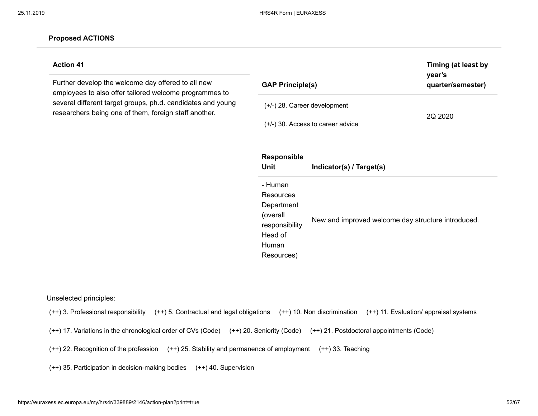#### **Action 41**

Further develop the welcome day offered to all new employees to also offer tailored welcome programmes to several different target groups, ph.d. candidates and young researchers being one of them, foreign staff another.

| <b>GAP Principle(s)</b>                                                                            |                                                    | Timing (at least by<br>year's<br>quarter/semester) |  |
|----------------------------------------------------------------------------------------------------|----------------------------------------------------|----------------------------------------------------|--|
|                                                                                                    | $(+/-)$ 28. Career development                     | 2Q 2020                                            |  |
|                                                                                                    | $(+/-)$ 30. Access to career advice                |                                                    |  |
| <b>Responsible</b><br>Unit                                                                         | Indicator(s) / Target(s)                           |                                                    |  |
| - Human<br>Resources<br>Department<br>(overall<br>responsibility<br>Head of<br>Human<br>Resources) | New and improved welcome day structure introduced. |                                                    |  |

Unselected principles:

(++) 3. Professional responsibility (++) 5. Contractual and legal obligations (++) 10. Non discrimination (++) 11. Evaluation/ appraisal systems

(++) 17. Variations in the chronological order of CVs (Code) (++) 20. Seniority (Code) (++) 21. Postdoctoral appointments (Code)

(++) 22. Recognition of the profession (++) 25. Stability and permanence of employment (++) 33. Teaching

(++) 35. Participation in decision-making bodies (++) 40. Supervision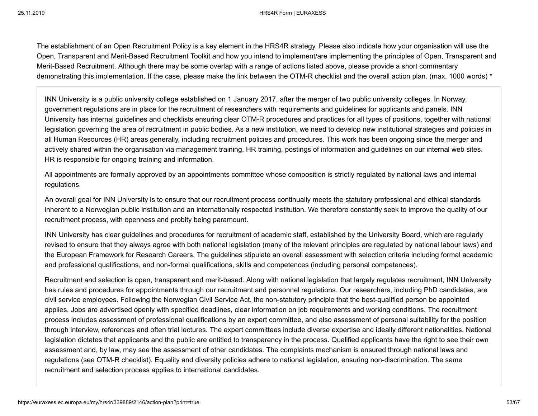The establishment of an Open Recruitment Policy is a key element in the HRS4R strategy. Please also indicate how your organisation will use the Open, Transparent and Merit-Based Recruitment Toolkit and how you intend to implement/are implementing the principles of Open, Transparent and Merit-Based Recruitment. Although there may be some overlap with a range of actions listed above, please provide a short commentary demonstrating this implementation. If the case, please make the link between the OTM-R checklist and the overall action plan. (max. 1000 words) \*

INN University is a public university college established on 1 January 2017, after the merger of two public university colleges. In Norway, government regulations are in place for the recruitment of researchers with requirements and guidelines for applicants and panels. INN University has internal guidelines and checklists ensuring clear OTM-R procedures and practices for all types of positions, together with national legislation governing the area of recruitment in public bodies. As a new institution, we need to develop new institutional strategies and policies in all Human Resources (HR) areas generally, including recruitment policies and procedures. This work has been ongoing since the merger and actively shared within the organisation via management training, HR training, postings of information and guidelines on our internal web sites. HR is responsible for ongoing training and information.

All appointments are formally approved by an appointments committee whose composition is strictly regulated by national laws and internal regulations.

An overall goal for INN University is to ensure that our recruitment process continually meets the statutory professional and ethical standards inherent to a Norwegian public institution and an internationally respected institution. We therefore constantly seek to improve the quality of our recruitment process, with openness and probity being paramount.

INN University has clear guidelines and procedures for recruitment of academic staff, established by the University Board, which are regularly revised to ensure that they always agree with both national legislation (many of the relevant principles are regulated by national labour laws) and the European Framework for Research Careers. The guidelines stipulate an overall assessment with selection criteria including formal academic and professional qualifications, and non-formal qualifications, skills and competences (including personal competences).

Recruitment and selection is open, transparent and merit-based. Along with national legislation that largely regulates recruitment, INN University has rules and procedures for appointments through our recruitment and personnel regulations. Our researchers, including PhD candidates, are civil service employees. Following the Norwegian Civil Service Act, the non-statutory principle that the best-qualified person be appointed applies. Jobs are advertised openly with specified deadlines, clear information on job requirements and working conditions. The recruitment process includes assessment of professional qualifications by an expert committee, and also assessment of personal suitability for the position through interview, references and often trial lectures. The expert committees include diverse expertise and ideally different nationalities. National legislation dictates that applicants and the public are entitled to transparency in the process. Qualified applicants have the right to see their own assessment and, by law, may see the assessment of other candidates. The complaints mechanism is ensured through national laws and regulations (see OTM-R checklist). Equality and diversity policies adhere to national legislation, ensuring non-discrimination. The same recruitment and selection process applies to international candidates.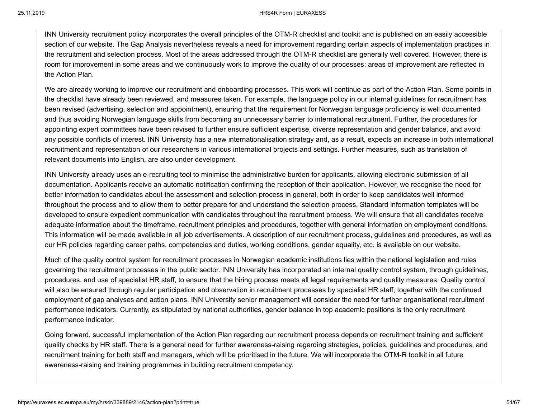INN University recruitment policy incorporates the overall principles of the OTM-R checklist and toolkit and is published on an easily accessible section of our website. The Gap Analysis nevertheless reveals a need for improvement regarding certain aspects of implementation practices in the recruitment and selection process. Most of the areas addressed through the OTM-R checklist are generally well covered. However, there is room for improvement in some areas and we continuously work to improve the quality of our processes: areas of improvement are reflected in the Action Plan.

We are already working to improve our recruitment and onboarding processes. This work will continue as part of the Action Plan. Some points in the checklist have already been reviewed, and measures taken. For example, the language policy in our internal guidelines for recruitment has been revised (advertising, selection and appointment), ensuring that the requirement for Norwegian language proficiency is well documented and thus avoiding Norwegian language skills from becoming an unnecessary barrier to international recruitment. Further, the procedures for appointing expert committees have been revised to further ensure sufficient expertise, diverse representation and gender balance, and avoid any possible conflicts of interest. INN University has a new internationalisation strategy and, as a result, expects an increase in both international recruitment and representation of our researchers in various international projects and settings. Further measures, such as translation of relevant documents into English, are also under development.

INN University already uses an e-recruiting tool to minimise the administrative burden for applicants, allowing electronic submission of all documentation. Applicants receive an automatic notification confirming the reception of their application. However, we recognise the need for better information to candidates about the assessment and selection process in general, both in order to keep candidates well informed throughout the process and to allow them to better prepare for and understand the selection process. Standard information templates will be developed to ensure expedient communication with candidates throughout the recruitment process. We will ensure that all candidates receive adequate information about the timeframe, recruitment principles and procedures, together with general information on employment conditions. This information will be made available in all job advertisements. A description of our recruitment process, guidelines and procedures, as well as our HR policies regarding career paths, competencies and duties, working conditions, gender equality, etc. is available on our website.

Much of the quality control system for recruitment processes in Norwegian academic institutions lies within the national legislation and rules governing the recruitment processes in the public sector. INN University has incorporated an internal quality control system, through guidelines, procedures, and use of specialist HR staff, to ensure that the hiring process meets all legal requirements and quality measures. Quality control will also be ensured through regular participation and observation in recruitment processes by specialist HR staff, together with the continued employment of gap analyses and action plans. INN University senior management will consider the need for further organisational recruitment performance indicators. Currently, as stipulated by national authorities, gender balance in top academic positions is the only recruitment performance indicator.

Going forward, successful implementation of the Action Plan regarding our recruitment process depends on recruitment training and sufficient quality checks by HR staff. There is a general need for further awareness-raising regarding strategies, policies, guidelines and procedures, and recruitment training for both staff and managers, which will be prioritised in the future. We will incorporate the OTM-R toolkit in all future awareness-raising and training programmes in building recruitment competency.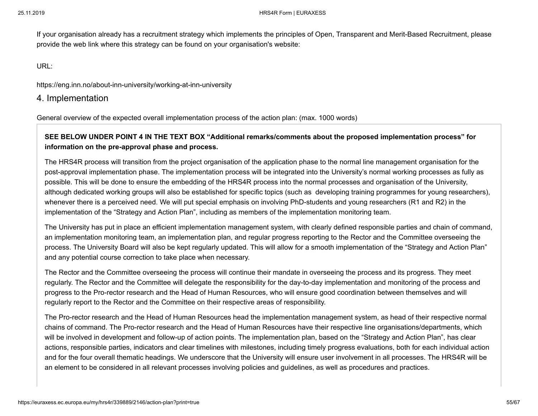If your organisation already has a recruitment strategy which implements the principles of Open, Transparent and Merit-Based Recruitment, please provide the web link where this strategy can be found on your organisation's website:

URL:

https://eng.inn.no/about-inn-university/working-at-inn-university

4. Implementation

General overview of the expected overall implementation process of the action plan: (max. 1000 words)

# **SEE BELOW UNDER POINT 4 IN THE TEXT BOX "Additional remarks/comments about the proposed implementation process" for information on the pre-approval phase and process.**

The HRS4R process will transition from the project organisation of the application phase to the normal line management organisation for the post-approval implementation phase. The implementation process will be integrated into the University's normal working processes as fully as possible. This will be done to ensure the embedding of the HRS4R process into the normal processes and organisation of the University, although dedicated working groups will also be established for specific topics (such as developing training programmes for young researchers), whenever there is a perceived need. We will put special emphasis on involving PhD-students and young researchers (R1 and R2) in the implementation of the "Strategy and Action Plan", including as members of the implementation monitoring team.

The University has put in place an efficient implementation management system, with clearly defined responsible parties and chain of command, an implementation monitoring team, an implementation plan, and regular progress reporting to the Rector and the Committee overseeing the process. The University Board will also be kept regularly updated. This will allow for a smooth implementation of the "Strategy and Action Plan" and any potential course correction to take place when necessary.

The Rector and the Committee overseeing the process will continue their mandate in overseeing the process and its progress. They meet regularly. The Rector and the Committee will delegate the responsibility for the day-to-day implementation and monitoring of the process and progress to the Pro-rector research and the Head of Human Resources, who will ensure good coordination between themselves and will regularly report to the Rector and the Committee on their respective areas of responsibility.

The Pro-rector research and the Head of Human Resources head the implementation management system, as head of their respective normal chains of command. The Pro-rector research and the Head of Human Resources have their respective line organisations/departments, which will be involved in development and follow-up of action points. The implementation plan, based on the "Strategy and Action Plan", has clear actions, responsible parties, indicators and clear timelines with milestones, including timely progress evaluations, both for each individual action and for the four overall thematic headings. We underscore that the University will ensure user involvement in all processes. The HRS4R will be an element to be considered in all relevant processes involving policies and guidelines, as well as procedures and practices.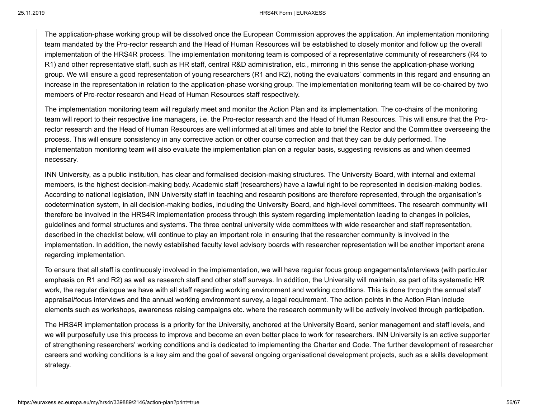#### 25.11.2019 HRS4R Form | EURAXESS

The application-phase working group will be dissolved once the European Commission approves the application. An implementation monitoring team mandated by the Pro-rector research and the Head of Human Resources will be established to closely monitor and follow up the overall implementation of the HRS4R process. The implementation monitoring team is composed of a representative community of researchers (R4 to R1) and other representative staff, such as HR staff, central R&D administration, etc., mirroring in this sense the application-phase working group. We will ensure a good representation of young researchers (R1 and R2), noting the evaluators' comments in this regard and ensuring an increase in the representation in relation to the application-phase working group. The implementation monitoring team will be co-chaired by two members of Pro-rector research and Head of Human Resources staff respectively.

The implementation monitoring team will regularly meet and monitor the Action Plan and its implementation. The co-chairs of the monitoring team will report to their respective line managers, i.e. the Pro-rector research and the Head of Human Resources. This will ensure that the Prorector research and the Head of Human Resources are well informed at all times and able to brief the Rector and the Committee overseeing the process. This will ensure consistency in any corrective action or other course correction and that they can be duly performed. The implementation monitoring team will also evaluate the implementation plan on a regular basis, suggesting revisions as and when deemed necessary.

INN University, as a public institution, has clear and formalised decision-making structures. The University Board, with internal and external members, is the highest decision-making body. Academic staff (researchers) have a lawful right to be represented in decision-making bodies. According to national legislation, INN University staff in teaching and research positions are therefore represented, through the organisation's codetermination system, in all decision-making bodies, including the University Board, and high-level committees. The research community will therefore be involved in the HRS4R implementation process through this system regarding implementation leading to changes in policies, guidelines and formal structures and systems. The three central university wide committees with wide researcher and staff representation, described in the checklist below, will continue to play an important role in ensuring that the researcher community is involved in the implementation. In addition, the newly established faculty level advisory boards with researcher representation will be another important arena regarding implementation.

To ensure that all staff is continuously involved in the implementation, we will have regular focus group engagements/interviews (with particular emphasis on R1 and R2) as well as research staff and other staff surveys. In addition, the University will maintain, as part of its systematic HR work, the regular dialogue we have with all staff regarding working environment and working conditions. This is done through the annual staff appraisal/focus interviews and the annual working environment survey, a legal requirement. The action points in the Action Plan include elements such as workshops, awareness raising campaigns etc. where the research community will be actively involved through participation.

The HRS4R implementation process is a priority for the University, anchored at the University Board, senior management and staff levels, and we will purposefully use this process to improve and become an even better place to work for researchers. INN University is an active supporter of strengthening researchers' working conditions and is dedicated to implementing the Charter and Code. The further development of researcher careers and working conditions is a key aim and the goal of several ongoing organisational development projects, such as a skills development strategy.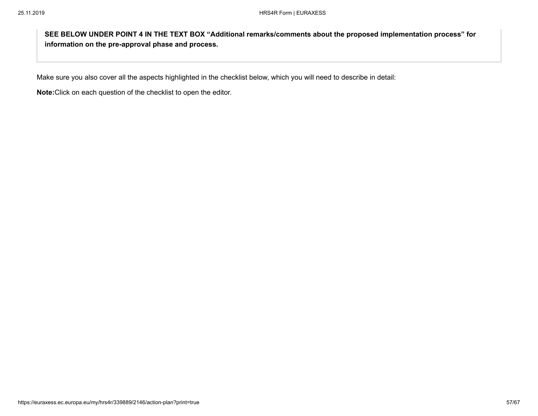**SEE BELOW UNDER POINT 4 IN THE TEXT BOX "Additional remarks/comments about the proposed implementation process" for information on the pre-approval phase and process.**

Make sure you also cover all the aspects highlighted in the checklist below, which you will need to describe in detail:

**Note:**Click on each question of the checklist to open the editor.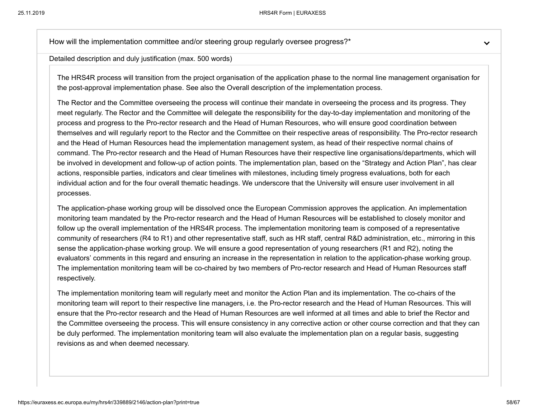How will the implementation committee and/or steering group regularly oversee progress?<sup>\*</sup>

Detailed description and duly justification (max. 500 words)

The HRS4R process will transition from the project organisation of the application phase to the normal line management organisation for the post-approval implementation phase. See also the Overall description of the implementation process.

The Rector and the Committee overseeing the process will continue their mandate in overseeing the process and its progress. They meet regularly. The Rector and the Committee will delegate the responsibility for the day-to-day implementation and monitoring of the process and progress to the Pro-rector research and the Head of Human Resources, who will ensure good coordination between themselves and will regularly report to the Rector and the Committee on their respective areas of responsibility. The Pro-rector research and the Head of Human Resources head the implementation management system, as head of their respective normal chains of command. The Pro-rector research and the Head of Human Resources have their respective line organisations/departments, which will be involved in development and follow-up of action points. The implementation plan, based on the "Strategy and Action Plan", has clear actions, responsible parties, indicators and clear timelines with milestones, including timely progress evaluations, both for each individual action and for the four overall thematic headings. We underscore that the University will ensure user involvement in all processes.

The application-phase working group will be dissolved once the European Commission approves the application. An implementation monitoring team mandated by the Pro-rector research and the Head of Human Resources will be established to closely monitor and follow up the overall implementation of the HRS4R process. The implementation monitoring team is composed of a representative community of researchers (R4 to R1) and other representative staff, such as HR staff, central R&D administration, etc., mirroring in this sense the application-phase working group. We will ensure a good representation of young researchers (R1 and R2), noting the evaluators' comments in this regard and ensuring an increase in the representation in relation to the application-phase working group. The implementation monitoring team will be co-chaired by two members of Pro-rector research and Head of Human Resources staff respectively.

The implementation monitoring team will regularly meet and monitor the Action Plan and its implementation. The co-chairs of the monitoring team will report to their respective line managers, i.e. the Pro-rector research and the Head of Human Resources. This will ensure that the Pro-rector research and the Head of Human Resources are well informed at all times and able to brief the Rector and the Committee overseeing the process. This will ensure consistency in any corrective action or other course correction and that they can be duly performed. The implementation monitoring team will also evaluate the implementation plan on a regular basis, suggesting revisions as and when deemed necessary.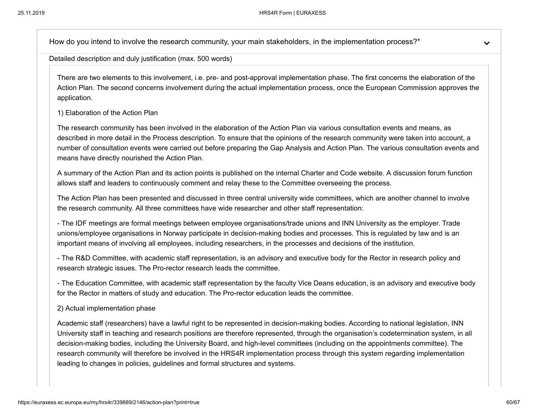How do you intend to involve the research community, your main stakeholders, in the implementation process?<sup>\*</sup>

Detailed description and duly justification (max. 500 words)

There are two elements to this involvement, i.e. pre- and post-approval implementation phase. The first concerns the elaboration of the Action Plan. The second concerns involvement during the actual implementation process, once the European Commission approves the application.

#### 1) Elaboration of the Action Plan

The research community has been involved in the elaboration of the Action Plan via various consultation events and means, as described in more detail in the Process description. To ensure that the opinions of the research community were taken into account, a number of consultation events were carried out before preparing the Gap Analysis and Action Plan. The various consultation events and means have directly nourished the Action Plan.

A summary of the Action Plan and its action points is published on the internal Charter and Code website. A discussion forum function allows staff and leaders to continuously comment and relay these to the Committee overseeing the process.

The Action Plan has been presented and discussed in three central university wide committees, which are another channel to involve the research community. All three committees have wide researcher and other staff representation:

- The IDF meetings are formal meetings between employee organisations/trade unions and INN University as the employer. Trade unions/employee organisations in Norway participate in decision-making bodies and processes. This is regulated by law and is an important means of involving all employees, including researchers, in the processes and decisions of the institution.

- The R&D Committee, with academic staff representation, is an advisory and executive body for the Rector in research policy and research strategic issues. The Pro-rector research leads the committee.

- The Education Committee, with academic staff representation by the faculty Vice Deans education, is an advisory and executive body for the Rector in matters of study and education. The Pro-rector education leads the committee.

#### 2) Actual implementation phase

Academic staff (researchers) have a lawful right to be represented in decision-making bodies. According to national legislation, INN University staff in teaching and research positions are therefore represented, through the organisation's codetermination system, in all decision-making bodies, including the University Board, and high-level committees (including on the appointments committee). The research community will therefore be involved in the HRS4R implementation process through this system regarding implementation leading to changes in policies, guidelines and formal structures and systems.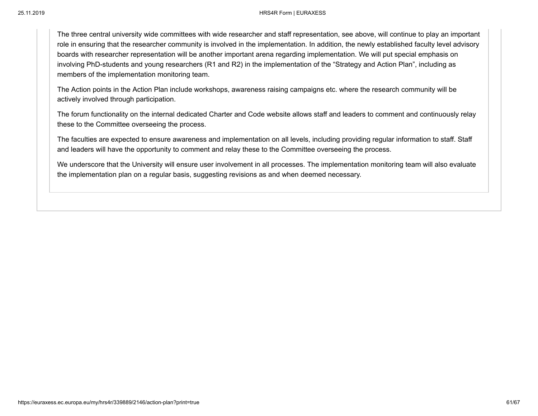The three central university wide committees with wide researcher and staff representation, see above, will continue to play an important role in ensuring that the researcher community is involved in the implementation. In addition, the newly established faculty level advisory boards with researcher representation will be another important arena regarding implementation. We will put special emphasis on involving PhD-students and young researchers (R1 and R2) in the implementation of the "Strategy and Action Plan", including as members of the implementation monitoring team.

The Action points in the Action Plan include workshops, awareness raising campaigns etc. where the research community will be actively involved through participation.

The forum functionality on the internal dedicated Charter and Code website allows staff and leaders to comment and continuously relay these to the Committee overseeing the process.

The faculties are expected to ensure awareness and implementation on all levels, including providing regular information to staff. Staff and leaders will have the opportunity to comment and relay these to the Committee overseeing the process.

We underscore that the University will ensure user involvement in all processes. The implementation monitoring team will also evaluate the implementation plan on a regular basis, suggesting revisions as and when deemed necessary.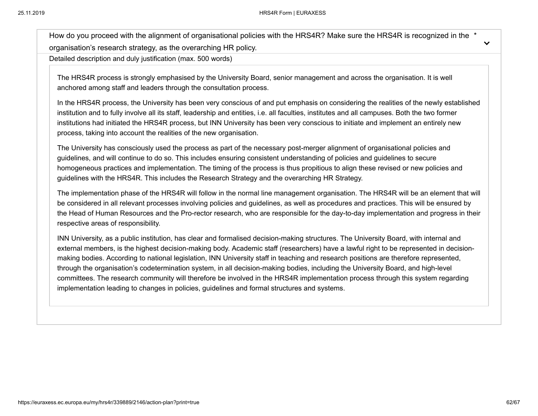How do you proceed with the alignment of organisational policies with the HRS4R? Make sure the HRS4R is recognized in the \* organisation's research strategy, as the overarching HR policy.

Detailed description and duly justification (max. 500 words)

The HRS4R process is strongly emphasised by the University Board, senior management and across the organisation. It is well anchored among staff and leaders through the consultation process.

In the HRS4R process, the University has been very conscious of and put emphasis on considering the realities of the newly established institution and to fully involve all its staff, leadership and entities, i.e. all faculties, institutes and all campuses. Both the two former institutions had initiated the HRS4R process, but INN University has been very conscious to initiate and implement an entirely new process, taking into account the realities of the new organisation.

The University has consciously used the process as part of the necessary post-merger alignment of organisational policies and guidelines, and will continue to do so. This includes ensuring consistent understanding of policies and guidelines to secure homogeneous practices and implementation. The timing of the process is thus propitious to align these revised or new policies and guidelines with the HRS4R. This includes the Research Strategy and the overarching HR Strategy.

The implementation phase of the HRS4R will follow in the normal line management organisation. The HRS4R will be an element that will be considered in all relevant processes involving policies and guidelines, as well as procedures and practices. This will be ensured by the Head of Human Resources and the Pro-rector research, who are responsible for the day-to-day implementation and progress in their respective areas of responsibility.

INN University, as a public institution, has clear and formalised decision-making structures. The University Board, with internal and external members, is the highest decision-making body. Academic staff (researchers) have a lawful right to be represented in decisionmaking bodies. According to national legislation, INN University staff in teaching and research positions are therefore represented, through the organisation's codetermination system, in all decision-making bodies, including the University Board, and high-level committees. The research community will therefore be involved in the HRS4R implementation process through this system regarding implementation leading to changes in policies, guidelines and formal structures and systems.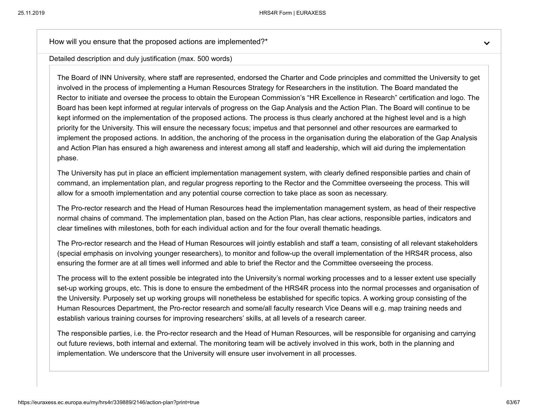How will you ensure that the proposed actions are implemented?\*

Detailed description and duly justification (max. 500 words)

The Board of INN University, where staff are represented, endorsed the Charter and Code principles and committed the University to get involved in the process of implementing a Human Resources Strategy for Researchers in the institution. The Board mandated the Rector to initiate and oversee the process to obtain the European Commission's "HR Excellence in Research" certification and logo. The Board has been kept informed at regular intervals of progress on the Gap Analysis and the Action Plan. The Board will continue to be kept informed on the implementation of the proposed actions. The process is thus clearly anchored at the highest level and is a high priority for the University. This will ensure the necessary focus; impetus and that personnel and other resources are earmarked to implement the proposed actions. In addition, the anchoring of the process in the organisation during the elaboration of the Gap Analysis and Action Plan has ensured a high awareness and interest among all staff and leadership, which will aid during the implementation phase.

The University has put in place an efficient implementation management system, with clearly defined responsible parties and chain of command, an implementation plan, and regular progress reporting to the Rector and the Committee overseeing the process. This will allow for a smooth implementation and any potential course correction to take place as soon as necessary.

The Pro-rector research and the Head of Human Resources head the implementation management system, as head of their respective normal chains of command. The implementation plan, based on the Action Plan, has clear actions, responsible parties, indicators and clear timelines with milestones, both for each individual action and for the four overall thematic headings.

The Pro-rector research and the Head of Human Resources will jointly establish and staff a team, consisting of all relevant stakeholders (special emphasis on involving younger researchers), to monitor and follow-up the overall implementation of the HRS4R process, also ensuring the former are at all times well informed and able to brief the Rector and the Committee overseeing the process.

The process will to the extent possible be integrated into the University's normal working processes and to a lesser extent use specially set-up working groups, etc. This is done to ensure the embedment of the HRS4R process into the normal processes and organisation of the University. Purposely set up working groups will nonetheless be established for specific topics. A working group consisting of the Human Resources Department, the Pro-rector research and some/all faculty research Vice Deans will e.g. map training needs and establish various training courses for improving researchers' skills, at all levels of a research career.

The responsible parties, i.e. the Pro-rector research and the Head of Human Resources, will be responsible for organising and carrying out future reviews, both internal and external. The monitoring team will be actively involved in this work, both in the planning and implementation. We underscore that the University will ensure user involvement in all processes.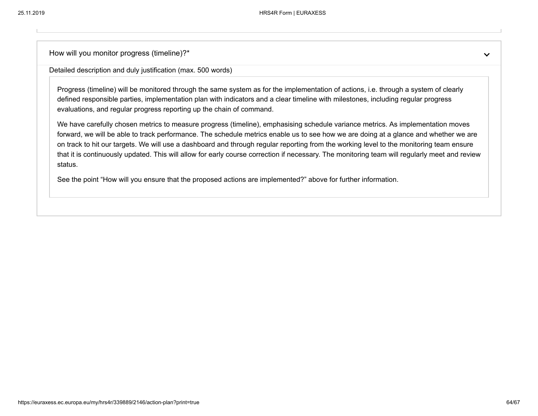How will you monitor progress (timeline)?\*

Detailed description and duly justification (max. 500 words)

Progress (timeline) will be monitored through the same system as for the implementation of actions, i.e. through a system of clearly defined responsible parties, implementation plan with indicators and a clear timeline with milestones, including regular progress evaluations, and regular progress reporting up the chain of command.

We have carefully chosen metrics to measure progress (timeline), emphasising schedule variance metrics. As implementation moves forward, we will be able to track performance. The schedule metrics enable us to see how we are doing at a glance and whether we are on track to hit our targets. We will use a dashboard and through regular reporting from the working level to the monitoring team ensure that it is continuously updated. This will allow for early course correction if necessary. The monitoring team will regularly meet and review status.

See the point "How will you ensure that the proposed actions are implemented?" above for further information.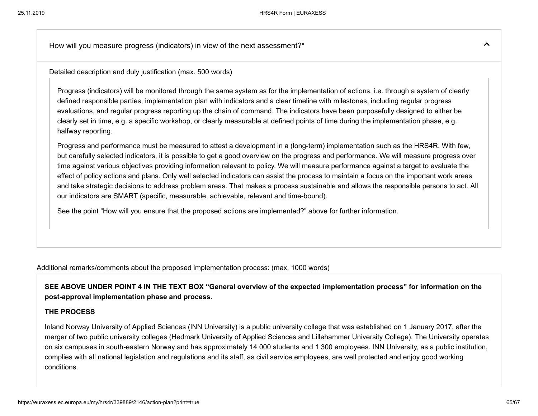How will you measure progress (indicators) in view of the next assessment?\*

Detailed description and duly justification (max. 500 words)

Progress (indicators) will be monitored through the same system as for the implementation of actions, i.e. through a system of clearly defined responsible parties, implementation plan with indicators and a clear timeline with milestones, including regular progress evaluations, and regular progress reporting up the chain of command. The indicators have been purposefully designed to either be clearly set in time, e.g. a specific workshop, or clearly measurable at defined points of time during the implementation phase, e.g. halfway reporting.

Progress and performance must be measured to attest a development in a (long-term) implementation such as the HRS4R. With few, but carefully selected indicators, it is possible to get a good overview on the progress and performance. We will measure progress over time against various objectives providing information relevant to policy. We will measure performance against a target to evaluate the effect of policy actions and plans. Only well selected indicators can assist the process to maintain a focus on the important work areas and take strategic decisions to address problem areas. That makes a process sustainable and allows the responsible persons to act. All our indicators are SMART (specific, measurable, achievable, relevant and time-bound).

See the point "How will you ensure that the proposed actions are implemented?" above for further information.

Additional remarks/comments about the proposed implementation process: (max. 1000 words)

**SEE ABOVE UNDER POINT 4 IN THE TEXT BOX "General overview of the expected implementation process" for information on the post-approval implementation phase and process.**

#### **THE PROCESS**

Inland Norway University of Applied Sciences (INN University) is a public university college that was established on 1 January 2017, after the merger of two public university colleges (Hedmark University of Applied Sciences and Lillehammer University College). The University operates on six campuses in south-eastern Norway and has approximately 14 000 students and 1 300 employees. INN University, as a public institution, complies with all national legislation and regulations and its staff, as civil service employees, are well protected and enjoy good working conditions.

ᄉ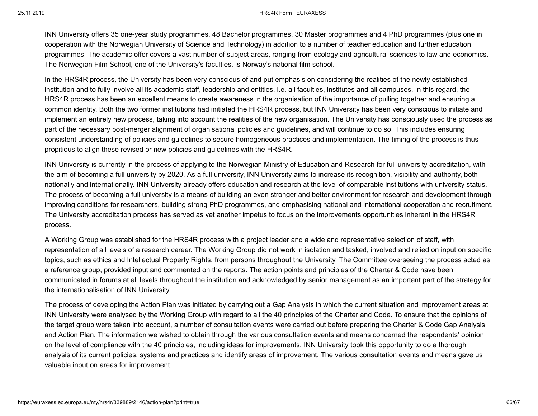#### 25.11.2019 HRS4R Form | EURAXESS

INN University offers 35 one-year study programmes, 48 Bachelor programmes, 30 Master programmes and 4 PhD programmes (plus one in cooperation with the Norwegian University of Science and Technology) in addition to a number of teacher education and further education programmes. The academic offer covers a vast number of subject areas, ranging from ecology and agricultural sciences to law and economics. The Norwegian Film School, one of the University's faculties, is Norway's national film school.

In the HRS4R process, the University has been very conscious of and put emphasis on considering the realities of the newly established institution and to fully involve all its academic staff, leadership and entities, i.e. all faculties, institutes and all campuses. In this regard, the HRS4R process has been an excellent means to create awareness in the organisation of the importance of pulling together and ensuring a common identity. Both the two former institutions had initiated the HRS4R process, but INN University has been very conscious to initiate and implement an entirely new process, taking into account the realities of the new organisation. The University has consciously used the process as part of the necessary post-merger alignment of organisational policies and guidelines, and will continue to do so. This includes ensuring consistent understanding of policies and guidelines to secure homogeneous practices and implementation. The timing of the process is thus propitious to align these revised or new policies and guidelines with the HRS4R.

INN University is currently in the process of applying to the Norwegian Ministry of Education and Research for full university accreditation, with the aim of becoming a full university by 2020. As a full university, INN University aims to increase its recognition, visibility and authority, both nationally and internationally. INN University already offers education and research at the level of comparable institutions with university status. The process of becoming a full university is a means of building an even stronger and better environment for research and development through improving conditions for researchers, building strong PhD programmes, and emphasising national and international cooperation and recruitment. The University accreditation process has served as yet another impetus to focus on the improvements opportunities inherent in the HRS4R process.

A Working Group was established for the HRS4R process with a project leader and a wide and representative selection of staff, with representation of all levels of a research career. The Working Group did not work in isolation and tasked, involved and relied on input on specific topics, such as ethics and Intellectual Property Rights, from persons throughout the University. The Committee overseeing the process acted as a reference group, provided input and commented on the reports. The action points and principles of the Charter & Code have been communicated in forums at all levels throughout the institution and acknowledged by senior management as an important part of the strategy for the internationalisation of INN University.

The process of developing the Action Plan was initiated by carrying out a Gap Analysis in which the current situation and improvement areas at INN University were analysed by the Working Group with regard to all the 40 principles of the Charter and Code. To ensure that the opinions of the target group were taken into account, a number of consultation events were carried out before preparing the Charter & Code Gap Analysis and Action Plan. The information we wished to obtain through the various consultation events and means concerned the respondents' opinion on the level of compliance with the 40 principles, including ideas for improvements. INN University took this opportunity to do a thorough analysis of its current policies, systems and practices and identify areas of improvement. The various consultation events and means gave us valuable input on areas for improvement.